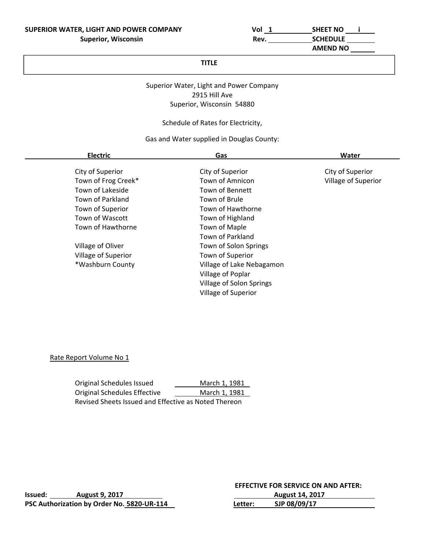| וכ | <b>SHEET NO</b>  |
|----|------------------|
|    | <b>CAUCRUU F</b> |

 **AMEND NO** 

## **TITLE**

## Superior Water, Light and Power Company 2915 Hill Ave Superior, Wisconsin 54880

## Schedule of Rates for Electricity,

## Gas and Water supplied in Douglas County:

| <b>Electric</b>     | Gas                        | Water               |
|---------------------|----------------------------|---------------------|
| City of Superior    | City of Superior           | City of Superior    |
| Town of Frog Creek* | Town of Amnicon            | Village of Superior |
| Town of Lakeside    | <b>Town of Bennett</b>     |                     |
| Town of Parkland    | Town of Brule              |                     |
| Town of Superior    | Town of Hawthorne          |                     |
| Town of Wascott     | Town of Highland           |                     |
| Town of Hawthorne   | Town of Maple              |                     |
|                     | <b>Town of Parkland</b>    |                     |
| Village of Oliver   | Town of Solon Springs      |                     |
| Village of Superior | Town of Superior           |                     |
| *Washburn County    | Village of Lake Nebagamon  |                     |
|                     | Village of Poplar          |                     |
|                     | Village of Solon Springs   |                     |
|                     | <b>Village of Superior</b> |                     |

## Rate Report Volume No 1

Original Schedules Issued **1. 1981**<br>
Original Schedules Effective <u>March 1, 1981</u> Original Schedules Effective Revised Sheets Issued and Effective as Noted Thereon

**Issued:** 2017 **PSC Authorization by Order No. 5820-UR-114**  **EFFECTIVE FOR SERVICE ON AND AFTER:** 

|         | <b>August 14, 2017</b> |  |
|---------|------------------------|--|
| Letter: | SJP 08/09/17           |  |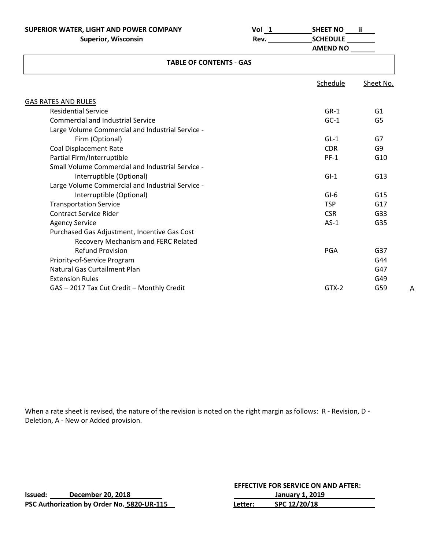**SUPERIOR WATER, LIGHT AND POWER COMPANY Vol 1 SHEET NO ii Superior, Wisconsin Rev. SCHEDULE** 

| I<br>I |  |  |
|--------|--|--|
|        |  |  |

 **AMEND NO** 

| <b>TABLE OF CONTENTS - GAS</b>                   |            |                 |
|--------------------------------------------------|------------|-----------------|
|                                                  | Schedule   | Sheet No.       |
| GAS RATES AND RULES                              |            |                 |
| <b>Residential Service</b>                       | $GR-1$     | G1              |
| <b>Commercial and Industrial Service</b>         | $GC-1$     | G <sub>5</sub>  |
| Large Volume Commercial and Industrial Service - |            |                 |
| Firm (Optional)                                  | $GL-1$     | G7              |
| <b>Coal Displacement Rate</b>                    | <b>CDR</b> | G9              |
| Partial Firm/Interruptible                       | $PF-1$     | G <sub>10</sub> |
| Small Volume Commercial and Industrial Service - |            |                 |
| Interruptible (Optional)                         | $GI-1$     | G13             |
| Large Volume Commercial and Industrial Service - |            |                 |
| Interruptible (Optional)                         | $GI-6$     | G <sub>15</sub> |
| <b>Transportation Service</b>                    | <b>TSP</b> | G17             |
| <b>Contract Service Rider</b>                    | <b>CSR</b> | G33             |
| <b>Agency Service</b>                            | $AS-1$     | G35             |
| Purchased Gas Adjustment, Incentive Gas Cost     |            |                 |
| Recovery Mechanism and FERC Related              |            |                 |
| <b>Refund Provision</b>                          | PGA        | G37             |
| Priority-of-Service Program                      |            | G44             |
|                                                  |            |                 |

 Natural Gas Curtailment Plan G47 Extension Rules **CALC CONTROLLER CONTROLLER CALCE CONTROLLER CALCE CALCE CALCE CALCE CALCE CALCE CALCE CALCE CA** GAS – 2017 Tax Cut Credit – Monthly Credit and Society and Society and GTX-2 G59

When a rate sheet is revised, the nature of the revision is noted on the right margin as follows: R - Revision, D -

Deletion, A ‐ New or Added provision.

**Issued: December 20, 2018 PSC Authorization by Order No. 5820-UR-115**   **EFFECTIVE FOR SERVICE ON AND AFTER:** 

|         | <b>January 1, 2019</b> |  |
|---------|------------------------|--|
| Letter: | SPC 12/20/18           |  |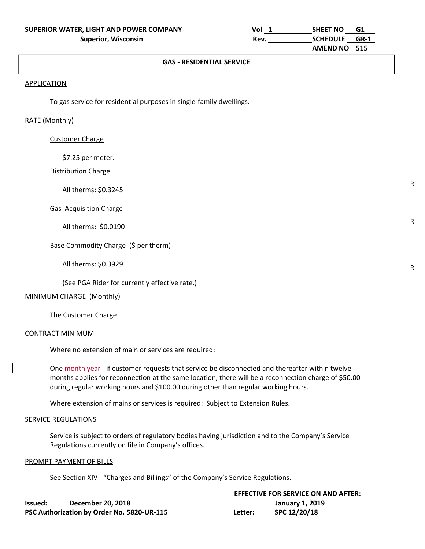#### **APPLICATION**

APPLICATION CONTINUES

To gas service for residential purposes in single‐family dwellings.

#### RATE (Monthly)

#### Customer Charge

\$7.25 per meter.

#### Distribution Charge

All therms: \$0.3245

#### Gas Acquisition Charge

All therms: \$0.0190

#### Base Commodity Charge (\$ per therm)

All therms: \$0.3929

(See PGA Rider for currently effective rate.)

#### MINIMUM CHARGE (Monthly)

The Customer Charge.

#### CONTRACT MINIMUM

Where no extension of main or services are required:

One month-year - if customer requests that service be disconnected and thereafter within twelve months applies for reconnection at the same location, there will be a reconnection charge of \$50.00 during regular working hours and \$100.00 during other than regular working hours.

Where extension of mains or services is required: Subject to Extension Rules.

#### SERVICE REGULATIONS

 Service is subject to orders of regulatory bodies having jurisdiction and to the Company's Service Regulations currently on file in Company's offices.

#### PROMPT PAYMENT OF BILLS

See Section XIV ‐ "Charges and Billings" of the Company's Service Regulations.

|         |                                            | <b>EFFECTIVE FOR SERVICE ON AND AFTER:</b> |                 |  |
|---------|--------------------------------------------|--------------------------------------------|-----------------|--|
| Issued: | December 20, 2018                          |                                            | January 1, 2019 |  |
|         | PSC Authorization by Order No. 5820-UR-115 | Letter:                                    | SPC 12/20/18    |  |

R

R

R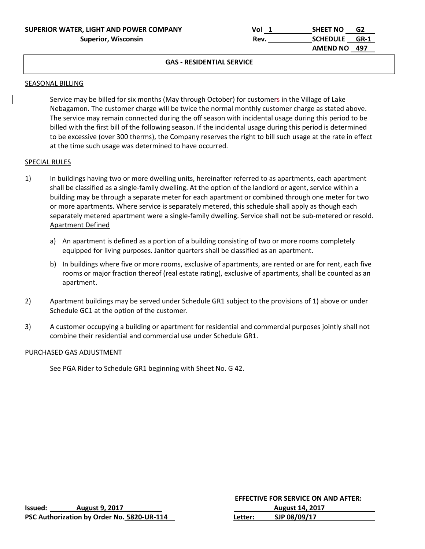| SUPERIOR WATER, LIGHT AND POWER COMPANY | Vol  | <b>SHEET NO</b><br>G2   |  |
|-----------------------------------------|------|-------------------------|--|
| <b>Superior, Wisconsin</b>              | Rev. | <b>SCHEDULE</b><br>GR-1 |  |
|                                         |      | AMEND NO 497            |  |

#### SEASONAL BILLING

APPLICATION CONTINUES

Service may be billed for six months (May through October) for customers in the Village of Lake Nebagamon. The customer charge will be twice the normal monthly customer charge as stated above. The service may remain connected during the off season with incidental usage during this period to be billed with the first bill of the following season. If the incidental usage during this period is determined to be excessive (over 300 therms), the Company reserves the right to bill such usage at the rate in effect at the time such usage was determined to have occurred.

#### SPECIAL RULES

- 1) In buildings having two or more dwelling units, hereinafter referred to as apartments, each apartment shall be classified as a single‐family dwelling. At the option of the landlord or agent, service within a building may be through a separate meter for each apartment or combined through one meter for two or more apartments. Where service is separately metered, this schedule shall apply as though each separately metered apartment were a single-family dwelling. Service shall not be sub-metered or resold. Apartment Defined
	- a) An apartment is defined as a portion of a building consisting of two or more rooms completely equipped for living purposes. Janitor quarters shall be classified as an apartment.
	- b) In buildings where five or more rooms, exclusive of apartments, are rented or are for rent, each five rooms or major fraction thereof (real estate rating), exclusive of apartments, shall be counted as an apartment.
- 2) Apartment buildings may be served under Schedule GR1 subject to the provisions of 1) above or under Schedule GC1 at the option of the customer.
- 3) A customer occupying a building or apartment for residential and commercial purposes jointly shall not combine their residential and commercial use under Schedule GR1.

#### PURCHASED GAS ADJUSTMENT

See PGA Rider to Schedule GR1 beginning with Sheet No. G 42.

|         |                                            |         | <b>EFFECTIVE FOR SERVICE ON AND AFTER:</b> |
|---------|--------------------------------------------|---------|--------------------------------------------|
| lssued: | <b>August 9, 2017</b>                      |         | <b>August 14, 2017</b>                     |
|         | PSC Authorization by Order No. 5820-UR-114 | Letter: | SJP 08/09/17                               |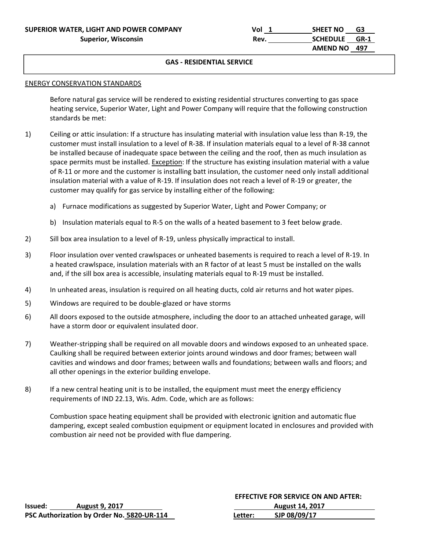| SUPERIOR WATER, LIGHT AND POWER COMPANY | Vol  | <b>SHEET NO</b><br>G3   |  |
|-----------------------------------------|------|-------------------------|--|
| <b>Superior, Wisconsin</b>              | Rev. | <b>SCHEDULE</b><br>GR-1 |  |
|                                         |      | AMEND NO 497            |  |

#### ENERGY CONSERVATION STANDARDS

APPLICATION CONTINUES

 Before natural gas service will be rendered to existing residential structures converting to gas space heating service, Superior Water, Light and Power Company will require that the following construction standards be met:

- 1) Ceiling or attic insulation: If a structure has insulating material with insulation value less than R‐19, the customer must install insulation to a level of R‐38. If insulation materials equal to a level of R‐38 cannot be installed because of inadequate space between the ceiling and the roof, then as much insulation as space permits must be installed. Exception: If the structure has existing insulation material with a value of R‐11 or more and the customer is installing batt insulation, the customer need only install additional insulation material with a value of R‐19. If insulation does not reach a level of R‐19 or greater, the customer may qualify for gas service by installing either of the following:
	- a) Furnace modifications as suggested by Superior Water, Light and Power Company; or
	- b) Insulation materials equal to R-5 on the walls of a heated basement to 3 feet below grade.
- 2) Sill box area insulation to a level of R-19, unless physically impractical to install.
- 3) Floor insulation over vented crawlspaces or unheated basements is required to reach a level of R‐19. In a heated crawlspace, insulation materials with an R factor of at least 5 must be installed on the walls and, if the sill box area is accessible, insulating materials equal to R‐19 must be installed.
- 4) In unheated areas, insulation is required on all heating ducts, cold air returns and hot water pipes.
- 5) Windows are required to be double‐glazed or have storms
- 6) All doors exposed to the outside atmosphere, including the door to an attached unheated garage, will have a storm door or equivalent insulated door.
- 7) Weather‐stripping shall be required on all movable doors and windows exposed to an unheated space. Caulking shall be required between exterior joints around windows and door frames; between wall cavities and windows and door frames; between walls and foundations; between walls and floors; and all other openings in the exterior building envelope.
- 8) If a new central heating unit is to be installed, the equipment must meet the energy efficiency requirements of IND 22.13, Wis. Adm. Code, which are as follows:

Combustion space heating equipment shall be provided with electronic ignition and automatic flue dampering, except sealed combustion equipment or equipment located in enclosures and provided with combustion air need not be provided with flue dampering.

|         |                                            | <b>EFFECTIVE FOR SERVICE ON AND AFTER:</b> |                        |  |
|---------|--------------------------------------------|--------------------------------------------|------------------------|--|
| Issued: | <b>August 9, 2017</b>                      |                                            | <b>August 14, 2017</b> |  |
|         | PSC Authorization by Order No. 5820-UR-114 | Letter:                                    | SJP 08/09/17           |  |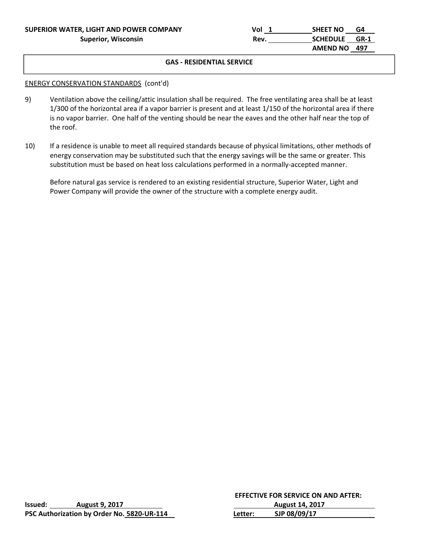| SUPERIOR WATER, LIGHT AND POWER COMPANY | Vol        | <b>SHEET NO</b><br>G4          |  |
|-----------------------------------------|------------|--------------------------------|--|
| <b>Superior, Wisconsin</b>              | <b>Rev</b> | <b>SCHEDULE</b><br><b>GR-1</b> |  |
|                                         |            | AMEND NO 497                   |  |

#### ENERGY CONSERVATION STANDARDS (cont'd)

APPLICATION CONTINUES

- 9) Ventilation above the ceiling/attic insulation shall be required. The free ventilating area shall be at least 1/300 of the horizontal area if a vapor barrier is present and at least 1/150 of the horizontal area if there is no vapor barrier. One half of the venting should be near the eaves and the other half near the top of the roof.
- 10) If a residence is unable to meet all required standards because of physical limitations, other methods of energy conservation may be substituted such that the energy savings will be the same or greater. This substitution must be based on heat loss calculations performed in a normally‐accepted manner.

 Before natural gas service is rendered to an existing residential structure, Superior Water, Light and Power Company will provide the owner of the structure with a complete energy audit.

|         |                                            |                        | EFFECTIVE FOR SERVICE ON AND AFTER: |  |  |
|---------|--------------------------------------------|------------------------|-------------------------------------|--|--|
| Issued: | <b>August 9, 2017</b>                      | <b>August 14, 2017</b> |                                     |  |  |
|         | PSC Authorization by Order No. 5820-UR-114 | Letter:                | SJP 08/09/17                        |  |  |

|         |                                            |         | <b>EFFECTIVE FOR SERVICE ON AND AFTER:</b> |  |
|---------|--------------------------------------------|---------|--------------------------------------------|--|
| Issued: | <b>August 9, 2017</b>                      |         | <b>August 14, 2017</b>                     |  |
|         | PSC Authorization by Order No. 5820-UR-114 | Letter: | SJP 08/09/17                               |  |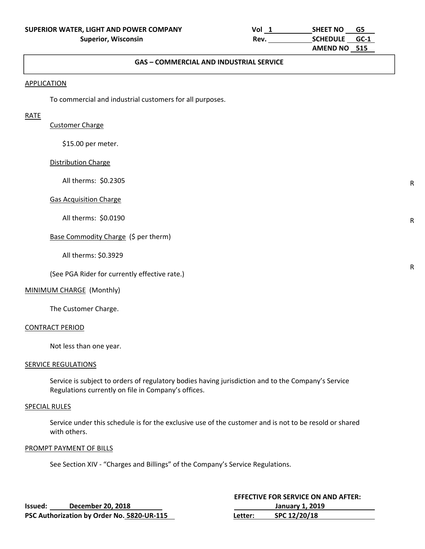| SUPERIOR WATER, LIGHT AND POWER COMPANY | Vol        | <b>SHEET NO</b> | G5 |  |
|-----------------------------------------|------------|-----------------|----|--|
| <b>Superior, Wisconsin</b>              | <b>Rev</b> | SCHEDULE GC-1   |    |  |
|                                         |            | AMEND NO 515    |    |  |

#### The commential customers in single culture customers in single-family described. **GAS – COMMERCIAL AND INDUSTRIAL SERVICE**

#### **APPLICATION**

APPLICATION CONTINUES

To commercial and industrial customers for all purposes.

#### RATE

#### Customer Charge

\$15.00 per meter.

#### Distribution Charge

All therms: \$0.2305

#### Gas Acquisition Charge

All therms: \$0.0190

## Base Commodity Charge (\$ per therm)

All therms: \$0.3929

(See PGA Rider for currently effective rate.)

#### MINIMUM CHARGE (Monthly)

The Customer Charge.

#### CONTRACT PERIOD

Not less than one year.

#### SERVICE REGULATIONS

 Service is subject to orders of regulatory bodies having jurisdiction and to the Company's Service Regulations currently on file in Company's offices.

#### SPECIAL RULES

 Service under this schedule is for the exclusive use of the customer and is not to be resold or shared with others.

#### PROMPT PAYMENT OF BILLS

See Section XIV ‐ "Charges and Billings" of the Company's Service Regulations.

|         |                                            |         | <b>EFFECTIVE FOR SERVICE ON AND AFTER:</b> |
|---------|--------------------------------------------|---------|--------------------------------------------|
| Issued: | December 20, 2018                          |         | <b>January 1, 2019</b>                     |
|         | PSC Authorization by Order No. 5820-UR-115 | Letter: | SPC 12/20/18                               |

R

R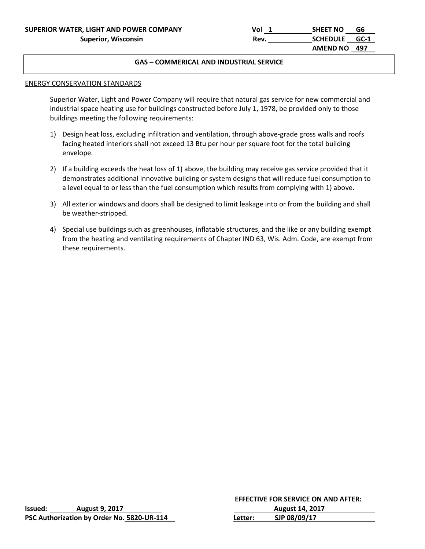#### The communications in source currence **GAS – COMMERICAL AND INDUSTRIAL SERVICE**

#### ENERGY CONSERVATION STANDARDS

APPLICATION CONTINUES

 Superior Water, Light and Power Company will require that natural gas service for new commercial and industrial space heating use for buildings constructed before July 1, 1978, be provided only to those buildings meeting the following requirements:

- 1) Design heat loss, excluding infiltration and ventilation, through above-grade gross walls and roofs facing heated interiors shall not exceed 13 Btu per hour per square foot for the total building envelope.
- 2) If a building exceeds the heat loss of 1) above, the building may receive gas service provided that it demonstrates additional innovative building or system designs that will reduce fuel consumption to a level equal to or less than the fuel consumption which results from complying with 1) above.
- 3) All exterior windows and doors shall be designed to limit leakage into or from the building and shall be weather‐stripped.
- 4) Special use buildings such as greenhouses, inflatable structures, and the like or any building exempt from the heating and ventilating requirements of Chapter IND 63, Wis. Adm. Code, are exempt from these requirements.

|         |                                            |         | <b>EFFECTIVE FOR SERVICE ON AND AFTER:</b> |
|---------|--------------------------------------------|---------|--------------------------------------------|
| lssued: | <b>August 9, 2017</b>                      |         | <b>August 14, 2017</b>                     |
|         | PSC Authorization by Order No. 5820-UR-114 | Letter: | SJP 08/09/17                               |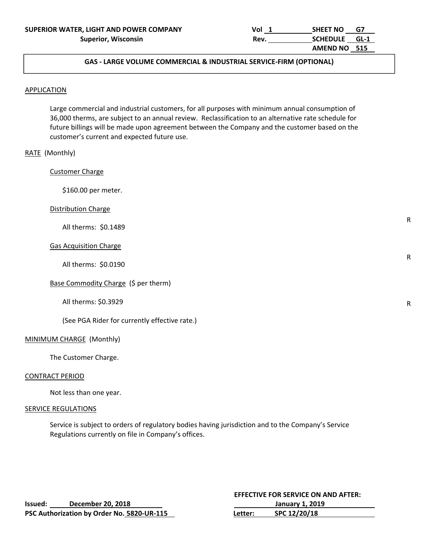| SUPERIOR WATER, LIGHT AND POWER COMPANY | Vol        | <b>SHEET NO</b><br>G7   |  |
|-----------------------------------------|------------|-------------------------|--|
| <b>Superior, Wisconsin</b>              | <b>Rev</b> | <b>SCHEDULE</b><br>GL-1 |  |
|                                         |            | AMEND NO 515            |  |

#### **GAS ‐ LARGE VOLUME COMMERCIAL & INDUSTRIAL SERVICE‐FIRM (OPTIONAL)**

#### **APPLICATION**

 Large commercial and industrial customers, for all purposes with minimum annual consumption of 36,000 therms, are subject to an annual review. Reclassification to an alternative rate schedule for future billings will be made upon agreement between the Company and the customer based on the customer's current and expected future use.

## RATE (Monthly)

Customer Charge

\$160.00 per meter.

#### Distribution Charge

All therms: \$0.1489

#### Gas Acquisition Charge

All therms: \$0.0190

Base Commodity Charge (\$ per therm)

All therms: \$0.3929

(See PGA Rider for currently effective rate.)

#### MINIMUM CHARGE (Monthly)

The Customer Charge.

#### CONTRACT PERIOD

Not less than one year.

#### SERVICE REGULATIONS

 Service is subject to orders of regulatory bodies having jurisdiction and to the Company's Service Regulations currently on file in Company's offices.

|         |                                            |         | <b>EFFECTIVE FOR SERVICE ON AND AFTER:</b> |
|---------|--------------------------------------------|---------|--------------------------------------------|
| Issued: | December 20, 2018                          |         | January 1, 2019                            |
|         | PSC Authorization by Order No. 5820-UR-115 | Letter: | SPC 12/20/18                               |

R

R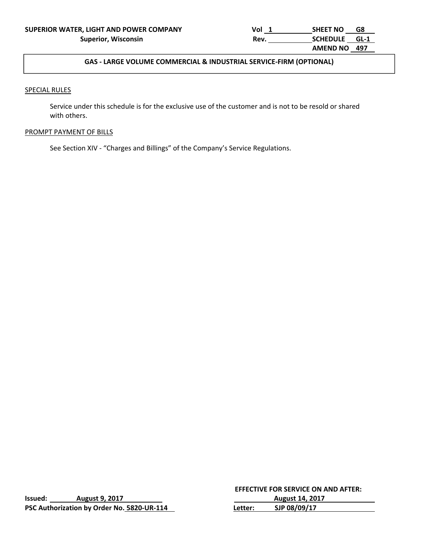## **GAS ‐ LARGE VOLUME COMMERCIAL & INDUSTRIAL SERVICE‐FIRM (OPTIONAL)**

#### SPECIAL RULES

 Service under this schedule is for the exclusive use of the customer and is not to be resold or shared with others.

#### PROMPT PAYMENT OF BILLS

See Section XIV ‐ "Charges and Billings" of the Company's Service Regulations.

| Issued: | <b>August 9, 2017</b>                      |  |
|---------|--------------------------------------------|--|
|         | PSC Authorization by Order No. 5820-UR-114 |  |

 **EFFECTIVE FOR SERVICE ON AND AFTER: Issued: August 9, 2017 August 14, 2017 PSC Authorization by Order No. 5820‐UR‐114 Letter: SJP 08/09/17**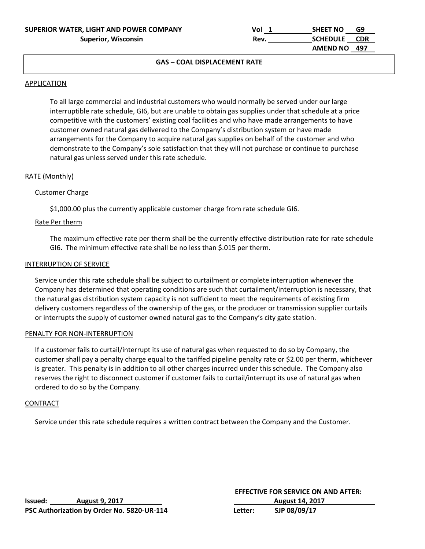| SUPERIOR WATER, LIGHT AND POWER COMPANY | Vol  | <b>SHEET NO</b><br>G9 |  |
|-----------------------------------------|------|-----------------------|--|
| <b>Superior, Wisconsin</b>              | Rev. | SCHEDULE CDR          |  |
|                                         |      | AMEND NO 497          |  |

#### $T_{\text{C}}$  and  $T_{\text{C}}$  is significantly dwift. **GAS – COAL DISPLACEMENT RATE**

#### **APPLICATION**

APPLICATION CONTINUES

To all large commercial and industrial customers who would normally be served under our large interruptible rate schedule, GI6, but are unable to obtain gas supplies under that schedule at a price competitive with the customers' existing coal facilities and who have made arrangements to have customer owned natural gas delivered to the Company's distribution system or have made arrangements for the Company to acquire natural gas supplies on behalf of the customer and who demonstrate to the Company's sole satisfaction that they will not purchase or continue to purchase natural gas unless served under this rate schedule.

#### RATE (Monthly)

#### Customer Charge

\$1,000.00 plus the currently applicable customer charge from rate schedule GI6.

#### Rate Per therm

The maximum effective rate per therm shall be the currently effective distribution rate for rate schedule GI6. The minimum effective rate shall be no less than \$.015 per therm.

#### INTERRUPTION OF SERVICE

Service under this rate schedule shall be subject to curtailment or complete interruption whenever the Company has determined that operating conditions are such that curtailment/interruption is necessary, that the natural gas distribution system capacity is not sufficient to meet the requirements of existing firm delivery customers regardless of the ownership of the gas, or the producer or transmission supplier curtails or interrupts the supply of customer owned natural gas to the Company's city gate station.

#### PENALTY FOR NON‐INTERRUPTION

If a customer fails to curtail/interrupt its use of natural gas when requested to do so by Company, the customer shall pay a penalty charge equal to the tariffed pipeline penalty rate or \$2.00 per therm, whichever is greater. This penalty is in addition to all other charges incurred under this schedule. The Company also reserves the right to disconnect customer if customer fails to curtail/interrupt its use of natural gas when ordered to do so by the Company.

#### **CONTRACT**

Service under this rate schedule requires a written contract between the Company and the Customer.

|         |                                            |         | <b>EFFECTIVE FOR SERVICE ON AND AFTER:</b> |
|---------|--------------------------------------------|---------|--------------------------------------------|
| lssued: | <b>August 9, 2017</b>                      |         | <b>August 14, 2017</b>                     |
|         | PSC Authorization by Order No. 5820-UR-114 | Letter: | SJP 08/09/17                               |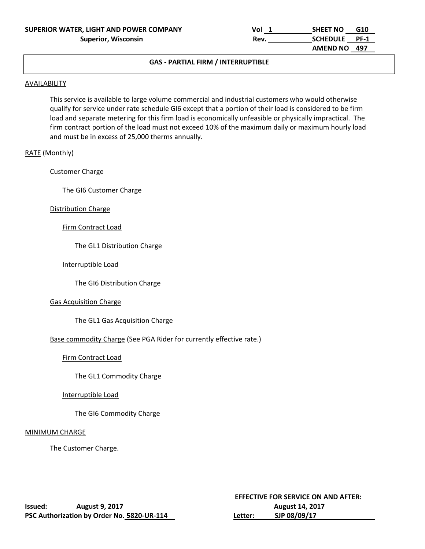| SUPERIOR WATER, LIGHT AND POWER COMPANY | Vol | G10<br><b>SHEET NO</b>         |  |
|-----------------------------------------|-----|--------------------------------|--|
| <b>Superior, Wisconsin</b>              | Rev | <b>SCHEDULE</b><br><b>PF-1</b> |  |
|                                         |     | AMEND NO 497                   |  |

#### $T_{\text{Cov}}$  is a residential customers in single-family distribution for all domestic uses. **GAS ‐ PARTIAL FIRM / INTERRUPTIBLE**

#### **AVAILABILITY**

APPLICATION CONTINUES

This service is available to large volume commercial and industrial customers who would otherwise qualify for service under rate schedule GI6 except that a portion of their load is considered to be firm load and separate metering for this firm load is economically unfeasible or physically impractical. The firm contract portion of the load must not exceed 10% of the maximum daily or maximum hourly load and must be in excess of 25,000 therms annually.

#### RATE (Monthly)

#### Customer Charge

The GI6 Customer Charge

#### Distribution Charge

#### Firm Contract Load

The GL1 Distribution Charge

#### Interruptible Load

The GI6 Distribution Charge

#### Gas Acquisition Charge

The GL1 Gas Acquisition Charge

## Base commodity Charge (See PGA Rider for currently effective rate.)

#### Firm Contract Load

The GL1 Commodity Charge

#### Interruptible Load

The GI6 Commodity Charge

#### MINIMUM CHARGE

The Customer Charge.

|         |                                            | <b>EFFECTIVE FOR SERVICE ON AND AFTER:</b> |                        |
|---------|--------------------------------------------|--------------------------------------------|------------------------|
| lssued: | <b>August 9, 2017</b>                      |                                            | <b>August 14, 2017</b> |
|         | PSC Authorization by Order No. 5820-UR-114 | Letter:                                    | SJP 08/09/17           |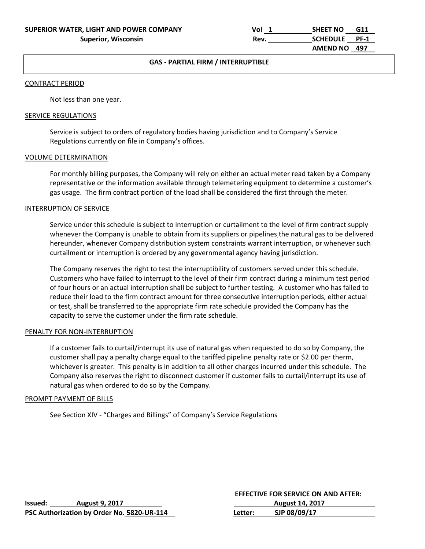| SUPERIOR WATER, LIGHT AND POWER COMPANY | Vol  | <b>SHEET NO</b><br>G11         |  |
|-----------------------------------------|------|--------------------------------|--|
| <b>Superior, Wisconsin</b>              | Rev. | <b>SCHEDULE</b><br><b>PF-1</b> |  |
|                                         |      | AMEND NO 497                   |  |

## **GAS - PARTIAL FIRM / INTERRUPTIBLE**

#### CONTRACT PERIOD

APPLICATION CONTINUES

Not less than one year.

#### SERVICE REGULATIONS

Service is subject to orders of regulatory bodies having jurisdiction and to Company's Service Regulations currently on file in Company's offices.

#### VOLUME DETERMINATION

 For monthly billing purposes, the Company will rely on either an actual meter read taken by a Company representative or the information available through telemetering equipment to determine a customer's gas usage. The firm contract portion of the load shall be considered the first through the meter.

#### INTERRUPTION OF SERVICE

Service under this schedule is subject to interruption or curtailment to the level of firm contract supply whenever the Company is unable to obtain from its suppliers or pipelines the natural gas to be delivered hereunder, whenever Company distribution system constraints warrant interruption, or whenever such curtailment or interruption is ordered by any governmental agency having jurisdiction.

The Company reserves the right to test the interruptibility of customers served under this schedule. Customers who have failed to interrupt to the level of their firm contract during a minimum test period of four hours or an actual interruption shall be subject to further testing. A customer who has failed to reduce their load to the firm contract amount for three consecutive interruption periods, either actual or test, shall be transferred to the appropriate firm rate schedule provided the Company has the capacity to serve the customer under the firm rate schedule.

#### PENALTY FOR NON‐INTERRUPTION

If a customer fails to curtail/interrupt its use of natural gas when requested to do so by Company, the customer shall pay a penalty charge equal to the tariffed pipeline penalty rate or \$2.00 per therm, whichever is greater. This penalty is in addition to all other charges incurred under this schedule. The Company also reserves the right to disconnect customer if customer fails to curtail/interrupt its use of natural gas when ordered to do so by the Company.

#### PROMPT PAYMENT OF BILLS

See Section XIV ‐ "Charges and Billings" of Company's Service Regulations

|         |                                            |         | <b>EFFECTIVE FOR SERVICE ON AND AFTER:</b> |
|---------|--------------------------------------------|---------|--------------------------------------------|
| lssued: | <b>August 9, 2017</b>                      |         | <b>August 14, 2017</b>                     |
|         | PSC Authorization by Order No. 5820-UR-114 | Letter: | SJP 08/09/17                               |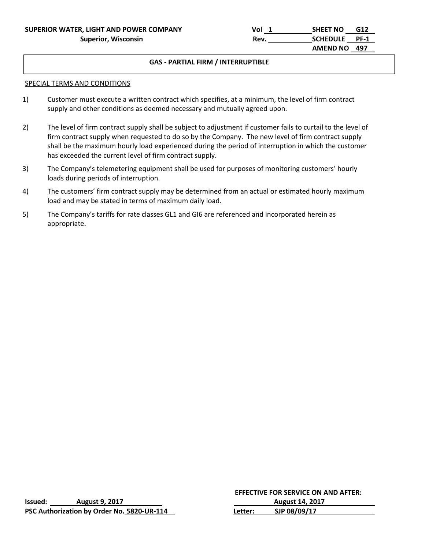#### $T_{\text{Cov}}$  is a residential customers in single-family distribution for all domestic uses. **GAS ‐ PARTIAL FIRM / INTERRUPTIBLE**

#### SPECIAL TERMS AND CONDITIONS

APPLICATION CONTINUES

- 1) Customer must execute a written contract which specifies, at a minimum, the level of firm contract supply and other conditions as deemed necessary and mutually agreed upon.
- 2) The level of firm contract supply shall be subject to adjustment if customer fails to curtail to the level of firm contract supply when requested to do so by the Company. The new level of firm contract supply shall be the maximum hourly load experienced during the period of interruption in which the customer has exceeded the current level of firm contract supply.
- 3) The Company's telemetering equipment shall be used for purposes of monitoring customers' hourly loads during periods of interruption.
- 4) The customers' firm contract supply may be determined from an actual or estimated hourly maximum load and may be stated in terms of maximum daily load.
- 5) The Company's tariffs for rate classes GL1 and GI6 are referenced and incorporated herein as appropriate.

|         |                                            | <b>EFFECTIV</b> |
|---------|--------------------------------------------|-----------------|
| Issued: | <b>August 9, 2017</b>                      |                 |
|         | PSC Authorization by Order No. 5820-UR-114 | Letter:         |

**VE FOR SERVICE ON AND AFTER: Issued: August 9, 2017 August 14, 2017 SJP 08/09/17**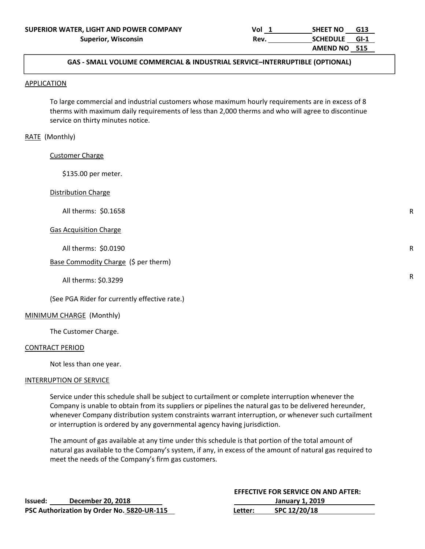R

R

R

### APPLICATION GAS ‐ SMALL VOLUME COMMERCIAL & INDUSTRIAL SERVICE–INTERRUPTIBLE (OPTIONAL)

#### **APPLICATION**

 To large commercial and industrial customers whose maximum hourly requirements are in excess of 8 therms with maximum daily requirements of less than 2,000 therms and who will agree to discontinue service on thirty minutes notice.

#### RATE (Monthly)

Customer Charge

\$135.00 per meter.

#### Distribution Charge

All therms: \$0.1658

#### Gas Acquisition Charge

All therms: \$0.0190

#### Base Commodity Charge (\$ per therm)

All therms: \$0.3299

(See PGA Rider for currently effective rate.)

#### MINIMUM CHARGE (Monthly)

The Customer Charge.

#### CONTRACT PERIOD

Not less than one year.

#### INTERRUPTION OF SERVICE

 Service under this schedule shall be subject to curtailment or complete interruption whenever the Company is unable to obtain from its suppliers or pipelines the natural gas to be delivered hereunder, whenever Company distribution system constraints warrant interruption, or whenever such curtailment or interruption is ordered by any governmental agency having jurisdiction.

 The amount of gas available at any time under this schedule is that portion of the total amount of natural gas available to the Company's system, if any, in excess of the amount of natural gas required to meet the needs of the Company's firm gas customers.

|         |                                            |         | <b>EFFECTIVE FOR SERVICE ON AND AFTER:</b> |
|---------|--------------------------------------------|---------|--------------------------------------------|
| Issued: | December 20, 2018                          |         | January 1, 2019                            |
|         | PSC Authorization by Order No. 5820-UR-115 | Letter: | SPC 12/20/18                               |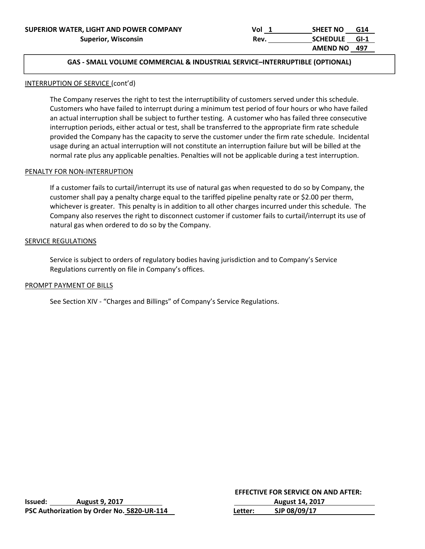### APPLICATION GAS ‐ SMALL VOLUME COMMERCIAL & INDUSTRIAL SERVICE–INTERRUPTIBLE (OPTIONAL)

#### INTERRUPTION OF SERVICE (cont'd)

 The Company reserves the right to test the interruptibility of customers served under this schedule. Customers who have failed to interrupt during a minimum test period of four hours or who have failed an actual interruption shall be subject to further testing. A customer who has failed three consecutive interruption periods, either actual or test, shall be transferred to the appropriate firm rate schedule provided the Company has the capacity to serve the customer under the firm rate schedule. Incidental usage during an actual interruption will not constitute an interruption failure but will be billed at the normal rate plus any applicable penalties. Penalties will not be applicable during a test interruption.

#### PENALTY FOR NON‐INTERRUPTION

 If a customer fails to curtail/interrupt its use of natural gas when requested to do so by Company, the customer shall pay a penalty charge equal to the tariffed pipeline penalty rate or \$2.00 per therm, whichever is greater. This penalty is in addition to all other charges incurred under this schedule. The Company also reserves the right to disconnect customer if customer fails to curtail/interrupt its use of natural gas when ordered to do so by the Company.

#### SERVICE REGULATIONS

 Service is subject to orders of regulatory bodies having jurisdiction and to Company's Service Regulations currently on file in Company's offices.

#### PROMPT PAYMENT OF BILLS

See Section XIV ‐ "Charges and Billings" of Company's Service Regulations.

| Issued: | <b>August 9, 2017</b>                      |         | <b>August 14, 2017</b> |
|---------|--------------------------------------------|---------|------------------------|
|         | PSC Authorization by Order No. 5820-UR-114 | Letter: | SJP 08/09/17           |

**EFFECTIVE FOR SERVICE ON AND AFTER:**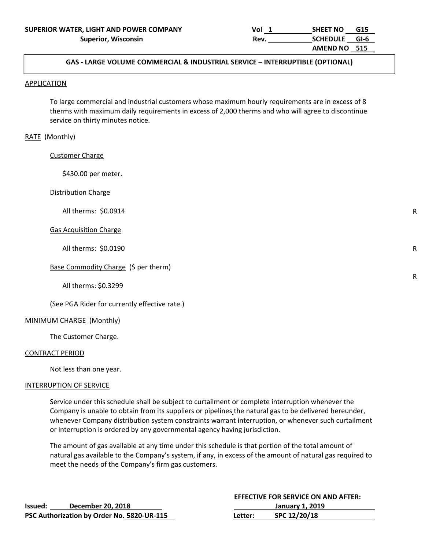### $\overline{\phantom{a}}$ GAS ‐ LARGE VOLUME COMMERCIAL & INDUSTRIAL SERVICE – INTERRUPTIBLE (OPTIONAL)<br>.

#### **APPLICATION**

 To large commercial and industrial customers whose maximum hourly requirements are in excess of 8 therms with maximum daily requirements in excess of 2,000 therms and who will agree to discontinue service on thirty minutes notice.

#### RATE (Monthly)

Customer Charge

\$430.00 per meter.

#### Distribution Charge

All therms: \$0.0914

#### Gas Acquisition Charge

All therms: \$0.0190

#### Base Commodity Charge (\$ per therm)

All therms: \$0.3299

(See PGA Rider for currently effective rate.)

## MINIMUM CHARGE (Monthly)

The Customer Charge.

#### CONTRACT PERIOD

Not less than one year.

#### INTERRUPTION OF SERVICE

 Service under this schedule shall be subject to curtailment or complete interruption whenever the Company is unable to obtain from its suppliers or pipelines the natural gas to be delivered hereunder, whenever Company distribution system constraints warrant interruption, or whenever such curtailment or interruption is ordered by any governmental agency having jurisdiction.

 The amount of gas available at any time under this schedule is that portion of the total amount of natural gas available to the Company's system, if any, in excess of the amount of natural gas required to meet the needs of the Company's firm gas customers.

 **EFFECTIVE FOR SERVICE ON AND AFTER:** 

|         |                                            |         | EFFECTIVE FOR SERVICE ON AND AFTER: |                 |
|---------|--------------------------------------------|---------|-------------------------------------|-----------------|
| Issued: | December 20, 2018                          |         |                                     | January 1, 2019 |
|         | PSC Authorization by Order No. 5820-UR-115 | Letter: | SPC 12/20/18                        |                 |

R

R

R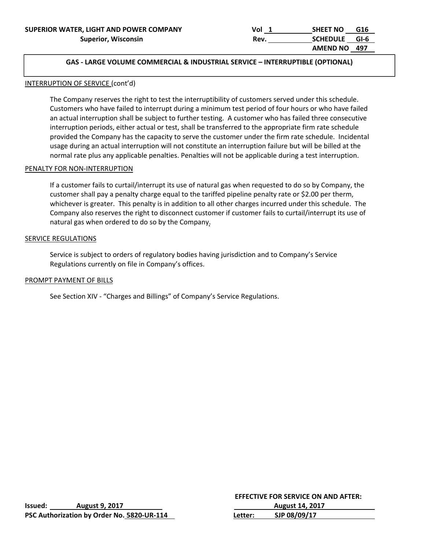### $\overline{\phantom{a}}$ GAS ‐ LARGE VOLUME COMMERCIAL & INDUSTRIAL SERVICE – INTERRUPTIBLE (OPTIONAL)<br>.

### INTERRUPTION OF SERVICE (cont'd)

The Company reserves the right to test the interruptibility of customers served under this schedule. Customers who have failed to interrupt during a minimum test period of four hours or who have failed an actual interruption shall be subject to further testing. A customer who has failed three consecutive interruption periods, either actual or test, shall be transferred to the appropriate firm rate schedule provided the Company has the capacity to serve the customer under the firm rate schedule. Incidental usage during an actual interruption will not constitute an interruption failure but will be billed at the normal rate plus any applicable penalties. Penalties will not be applicable during a test interruption.

#### PENALTY FOR NON‐INTERRUPTION

 If a customer fails to curtail/interrupt its use of natural gas when requested to do so by Company, the customer shall pay a penalty charge equal to the tariffed pipeline penalty rate or \$2.00 per therm, whichever is greater. This penalty is in addition to all other charges incurred under this schedule. The Company also reserves the right to disconnect customer if customer fails to curtail/interrupt its use of natural gas when ordered to do so by the Company.

## SERVICE REGULATIONS

 Service is subject to orders of regulatory bodies having jurisdiction and to Company's Service Regulations currently on file in Company's offices.

#### PROMPT PAYMENT OF BILLS

See Section XIV ‐ "Charges and Billings" of Company's Service Regulations.

|                |                                            |         | <b>EFFECTIVE FOR SERVICE ON AND AFTER:</b> |  |  |
|----------------|--------------------------------------------|---------|--------------------------------------------|--|--|
| <b>Issued:</b> | <b>August 9, 2017</b>                      |         | <b>August 14, 2017</b>                     |  |  |
|                | PSC Authorization by Order No. 5820-UR-114 | Letter: | SJP 08/09/17                               |  |  |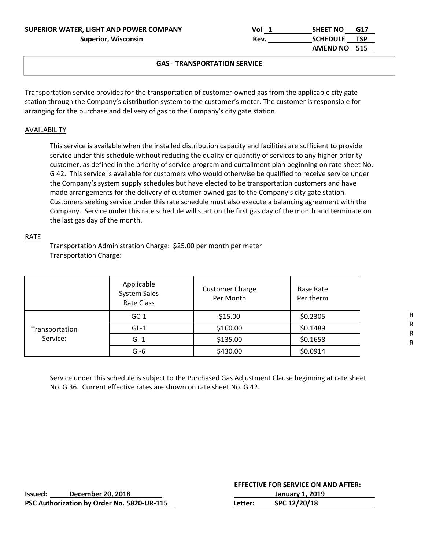## **GAS ‐ TRANSPORTATION SERVICE**

Transportation service provides for the transportation of customer‐owned gas from the applicable city gate station through the Company's distribution system to the customer's meter. The customer is responsible for arranging for the purchase and delivery of gas to the Company's city gate station.

#### AVAILABILITY

 This service is available when the installed distribution capacity and facilities are sufficient to provide service under this schedule without reducing the quality or quantity of services to any higher priority customer, as defined in the priority of service program and curtailment plan beginning on rate sheet No. G 42. This service is available for customers who would otherwise be qualified to receive service under the Company's system supply schedules but have elected to be transportation customers and have made arrangements for the delivery of customer-owned gas to the Company's city gate station. Customers seeking service under this rate schedule must also execute a balancing agreement with the Company. Service under this rate schedule will start on the first gas day of the month and terminate on the last gas day of the month.

#### RATE

 Transportation Administration Charge: \$25.00 per month per meter Transportation Charge:

|                            | Applicable<br>System Sales<br><b>Rate Class</b> | <b>Customer Charge</b><br>Per Month | Base Rate<br>Per therm |
|----------------------------|-------------------------------------------------|-------------------------------------|------------------------|
| Transportation<br>Service: | $GC-1$                                          | \$15.00                             | \$0.2305               |
|                            | $GL-1$                                          | \$160.00                            | \$0.1489               |
|                            | $GI-1$                                          | \$135.00                            | \$0.1658               |
|                            | $GI-6$                                          | \$430.00                            | \$0.0914               |

 Service under this schedule is subject to the Purchased Gas Adjustment Clause beginning at rate sheet No. G 36. Current effective rates are shown on rate sheet No. G 42.

|         |                                            |         | <b>EFFECTIVE FOR SERVICE ON AND AFTER:</b> |  |
|---------|--------------------------------------------|---------|--------------------------------------------|--|
| Issued: | December 20, 2018                          |         | January 1. 2019                            |  |
|         | PSC Authorization by Order No. 5820-UR-115 | Letter: | SPC 12/20/18                               |  |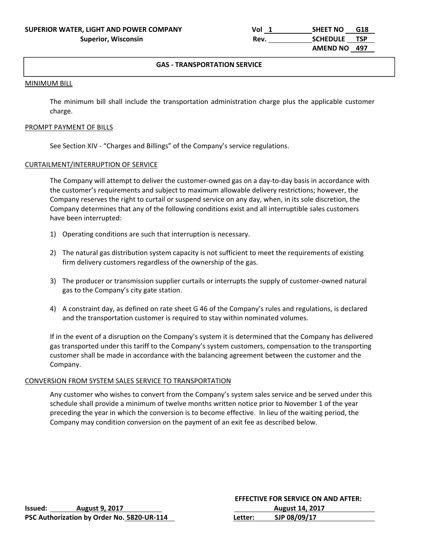#### **GAS ‐ TRANSPORTATION SERVICE**

#### MINIMUM BILL

The minimum bill shall include the transportation administration charge plus the applicable customer charge.

#### PROMPT PAYMENT OF BILLS

See Section XIV ‐ "Charges and Billings" of the Company's service regulations.

#### CURTAILMENT/INTERRUPTION OF SERVICE

The Company will attempt to deliver the customer-owned gas on a day-to-day basis in accordance with the customer's requirements and subject to maximum allowable delivery restrictions; however, the Company reserves the right to curtail or suspend service on any day, when, in its sole discretion, the Company determines that any of the following conditions exist and all interruptible sales customers have been interrupted:

- 1) Operating conditions are such that interruption is necessary.
- 2) The natural gas distribution system capacity is not sufficient to meet the requirements of existing firm delivery customers regardless of the ownership of the gas.
- 3) The producer or transmission supplier curtails or interrupts the supply of customer‐owned natural gas to the Company's city gate station.
- 4) A constraint day, as defined on rate sheet G 46 of the Company's rules and regulations, is declared and the transportation customer is required to stay within nominated volumes.

 If in the event of a disruption on the Company's system it is determined that the Company has delivered gas transported under this tariff to the Company's system customers, compensation to the transporting customer shall be made in accordance with the balancing agreement between the customer and the Company.

#### CONVERSION FROM SYSTEM SALES SERVICE TO TRANSPORTATION

Any customer who wishes to convert from the Company's system sales service and be served under this schedule shall provide a minimum of twelve months written notice prior to November 1 of the year preceding the year in which the conversion is to become effective. In lieu of the waiting period, the Company may condition conversion on the payment of an exit fee as described below.

|         |                                            |         | <b>EFFECTIVE FOR SERVICE ON AND AFTER:</b> |
|---------|--------------------------------------------|---------|--------------------------------------------|
| lssued: | <b>August 9, 2017</b>                      |         | <b>August 14, 2017</b>                     |
|         | PSC Authorization by Order No. 5820-UR-114 | Letter: | SJP 08/09/17                               |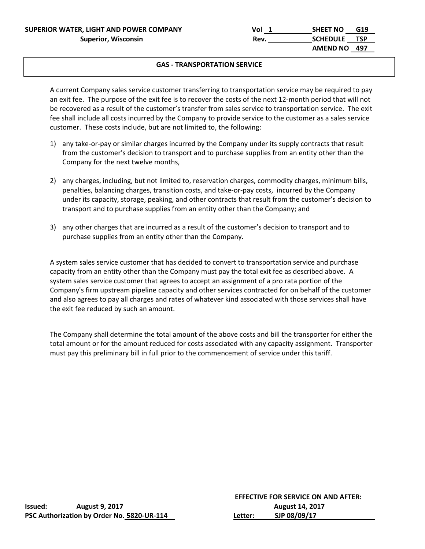**SUPERIOR WATER, LIGHT AND POWER COMPANY**   $vol_1$  Vol  $1$  SHEET NO G19

#### **GAS ‐ TRANSPORTATION SERVICE**

 A current Company sales service customer transferring to transportation service may be required to pay an exit fee. The purpose of the exit fee is to recover the costs of the next 12-month period that will not be recovered as a result of the customer's transfer from sales service to transportation service. The exit fee shall include all costs incurred by the Company to provide service to the customer as a sales service customer. These costs include, but are not limited to, the following:

- 1) any take‐or‐pay or similar charges incurred by the Company under its supply contracts that result from the customer's decision to transport and to purchase supplies from an entity other than the Company for the next twelve months,
- 2) any charges, including, but not limited to, reservation charges, commodity charges, minimum bills, penalties, balancing charges, transition costs, and take‐or‐pay costs, incurred by the Company under its capacity, storage, peaking, and other contracts that result from the customer's decision to transport and to purchase supplies from an entity other than the Company; and
- 3) any other charges that are incurred as a result of the customer's decision to transport and to purchase supplies from an entity other than the Company.

A system sales service customer that has decided to convert to transportation service and purchase capacity from an entity other than the Company must pay the total exit fee as described above. A system sales service customer that agrees to accept an assignment of a pro rata portion of the Company's firm upstream pipeline capacity and other services contracted for on behalf of the customer and also agrees to pay all charges and rates of whatever kind associated with those services shall have the exit fee reduced by such an amount.

 The Company shall determine the total amount of the above costs and bill the transporter for either the total amount or for the amount reduced for costs associated with any capacity assignment. Transporter must pay this preliminary bill in full prior to the commencement of service under this tariff.

|         |                                            |         | <b>EFFECTIVE FOR SERVICE ON AND AFTER:</b> |
|---------|--------------------------------------------|---------|--------------------------------------------|
| lssued: | <b>August 9, 2017</b>                      |         | <b>August 14, 2017</b>                     |
|         | PSC Authorization by Order No. 5820-UR-114 | Letter: | SJP 08/09/17                               |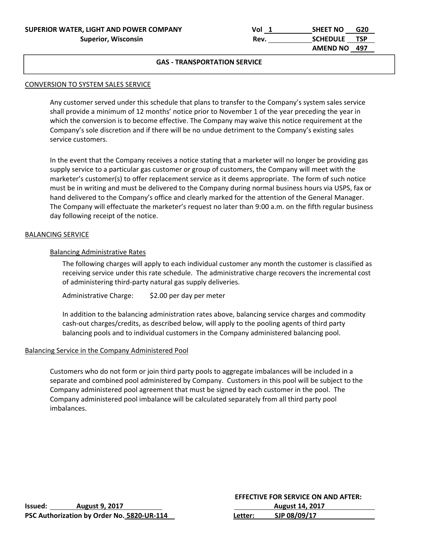| SUPERIOR WATER, LIGHT AND POWER COMPANY | Vol  | <b>SHEET NO</b> | G20        |
|-----------------------------------------|------|-----------------|------------|
| <b>Superior, Wisconsin</b>              | Rev. | <b>SCHEDULE</b> | <b>TSP</b> |
|                                         |      | <b>AMEND NO</b> | - 497      |

#### CONVERSION TO SYSTEM SALES SERVICE

Any customer served under this schedule that plans to transfer to the Company's system sales service shall provide a minimum of 12 months' notice prior to November 1 of the year preceding the year in which the conversion is to become effective. The Company may waive this notice requirement at the Company's sole discretion and if there will be no undue detriment to the Company's existing sales service customers.

In the event that the Company receives a notice stating that a marketer will no longer be providing gas supply service to a particular gas customer or group of customers, the Company will meet with the marketer's customer(s) to offer replacement service as it deems appropriate. The form of such notice must be in writing and must be delivered to the Company during normal business hours via USPS, fax or hand delivered to the Company's office and clearly marked for the attention of the General Manager. The Company will effectuate the marketer's request no later than 9:00 a.m. on the fifth regular business day following receipt of the notice.

#### BALANCING SERVICE

APPLICATION CONTINUES

#### Balancing Administrative Rates

The following charges will apply to each individual customer any month the customer is classified as receiving service under this rate schedule. The administrative charge recovers the incremental cost of administering third‐party natural gas supply deliveries.

Administrative Charge: \$2.00 per day per meter

In addition to the balancing administration rates above, balancing service charges and commodity cash-out charges/credits, as described below, will apply to the pooling agents of third party balancing pools and to individual customers in the Company administered balancing pool.

#### Balancing Service in the Company Administered Pool

Customers who do not form or join third party pools to aggregate imbalances will be included in a separate and combined pool administered by Company. Customers in this pool will be subject to the Company administered pool agreement that must be signed by each customer in the pool. The Company administered pool imbalance will be calculated separately from all third party pool imbalances.

|                |                                            |         | <b>EFFECTIVE FOR SERVICE ON AND AFTER:</b> |
|----------------|--------------------------------------------|---------|--------------------------------------------|
| <b>Issued:</b> | <b>August 9, 2017</b>                      |         | <b>August 14, 2017</b>                     |
|                | PSC Authorization by Order No. 5820-UR-114 | Letter: | SJP 08/09/17                               |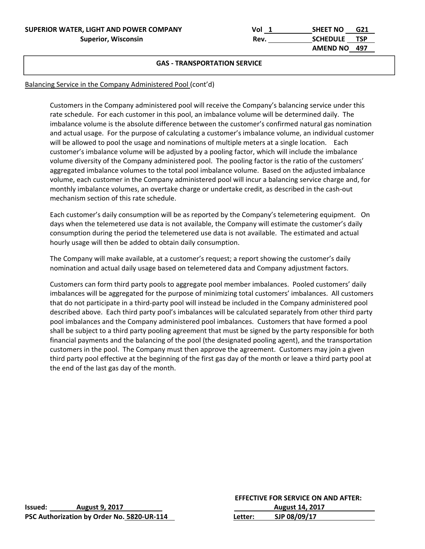| SUPERIOR WATER, LIGHT AND POWER COMPANY | Vol  | <b>SHEET NO</b> | G21 |
|-----------------------------------------|------|-----------------|-----|
| Superior, Wisconsin                     | Rev. | SCHEDULE TSP    |     |
|                                         |      | AMEND NO 497    |     |

#### **GAS ‐ TRANSPORTATION SERVICE**

## Balancing Service in the Company Administered Pool (cont'd)

Customers in the Company administered pool will receive the Company's balancing service under this rate schedule. For each customer in this pool, an imbalance volume will be determined daily. The imbalance volume is the absolute difference between the customer's confirmed natural gas nomination and actual usage. For the purpose of calculating a customer's imbalance volume, an individual customer will be allowed to pool the usage and nominations of multiple meters at a single location. Each customer's imbalance volume will be adjusted by a pooling factor, which will include the imbalance volume diversity of the Company administered pool. The pooling factor is the ratio of the customers' aggregated imbalance volumes to the total pool imbalance volume. Based on the adjusted imbalance volume, each customer in the Company administered pool will incur a balancing service charge and, for monthly imbalance volumes, an overtake charge or undertake credit, as described in the cash-out mechanism section of this rate schedule.

Each customer's daily consumption will be as reported by the Company's telemetering equipment. On days when the telemetered use data is not available, the Company will estimate the customer's daily consumption during the period the telemetered use data is not available. The estimated and actual hourly usage will then be added to obtain daily consumption.

The Company will make available, at a customer's request; a report showing the customer's daily nomination and actual daily usage based on telemetered data and Company adjustment factors.

Customers can form third party pools to aggregate pool member imbalances. Pooled customers' daily imbalances will be aggregated for the purpose of minimizing total customers' imbalances. All customers that do not participate in a third‐party pool will instead be included in the Company administered pool described above. Each third party pool's imbalances will be calculated separately from other third party pool imbalances and the Company administered pool imbalances. Customers that have formed a pool shall be subject to a third party pooling agreement that must be signed by the party responsible for both financial payments and the balancing of the pool (the designated pooling agent), and the transportation customers in the pool. The Company must then approve the agreement. Customers may join a given third party pool effective at the beginning of the first gas day of the month or leave a third party pool at the end of the last gas day of the month.

|         |                                            |         | <b>EFFECTIVE FOR SERVICE ON AND AFTER:</b> |
|---------|--------------------------------------------|---------|--------------------------------------------|
| lssued: | <b>August 9, 2017</b>                      |         | <b>August 14, 2017</b>                     |
|         | PSC Authorization by Order No. 5820-UR-114 | Letter: | SJP 08/09/17                               |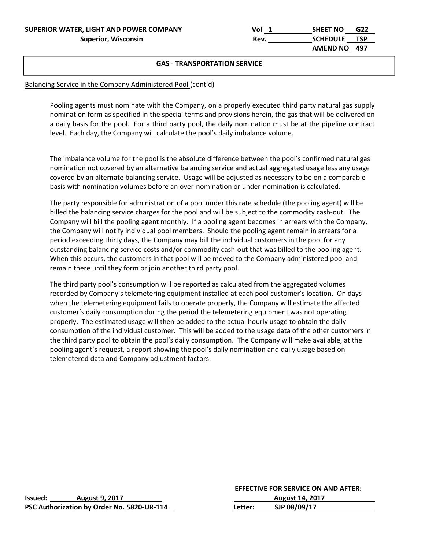| SUPERIOR WATER, LIGHT AND POWER COMPANY | Vol  | <b>SHEET NO</b> | G22 |
|-----------------------------------------|------|-----------------|-----|
| <b>Superior, Wisconsin</b>              | Rev. | SCHEDULE TSP    |     |
|                                         |      | AMEND NO 497    |     |

#### **GAS ‐ TRANSPORTATION SERVICE**

### Balancing Service in the Company Administered Pool (cont'd)

Pooling agents must nominate with the Company, on a properly executed third party natural gas supply nomination form as specified in the special terms and provisions herein, the gas that will be delivered on a daily basis for the pool. For a third party pool, the daily nomination must be at the pipeline contract level. Each day, the Company will calculate the pool's daily imbalance volume.

The imbalance volume for the pool is the absolute difference between the pool's confirmed natural gas nomination not covered by an alternative balancing service and actual aggregated usage less any usage covered by an alternate balancing service. Usage will be adjusted as necessary to be on a comparable basis with nomination volumes before an over‐nomination or under‐nomination is calculated.

The party responsible for administration of a pool under this rate schedule (the pooling agent) will be billed the balancing service charges for the pool and will be subject to the commodity cash‐out. The Company will bill the pooling agent monthly. If a pooling agent becomes in arrears with the Company, the Company will notify individual pool members. Should the pooling agent remain in arrears for a period exceeding thirty days, the Company may bill the individual customers in the pool for any outstanding balancing service costs and/or commodity cash-out that was billed to the pooling agent. When this occurs, the customers in that pool will be moved to the Company administered pool and remain there until they form or join another third party pool.

The third party pool's consumption will be reported as calculated from the aggregated volumes recorded by Company's telemetering equipment installed at each pool customer's location. On days when the telemetering equipment fails to operate properly, the Company will estimate the affected customer's daily consumption during the period the telemetering equipment was not operating properly. The estimated usage will then be added to the actual hourly usage to obtain the daily consumption of the individual customer. This will be added to the usage data of the other customers in the third party pool to obtain the pool's daily consumption. The Company will make available, at the pooling agent's request, a report showing the pool's daily nomination and daily usage based on telemetered data and Company adjustment factors.

|         |                                            |         | <b>EFFECTIVE FOR SERVICE ON AND AFTER:</b> |  |
|---------|--------------------------------------------|---------|--------------------------------------------|--|
| Issued: | <b>August 9, 2017</b>                      |         | <b>August 14, 2017</b>                     |  |
|         | PSC Authorization by Order No. 5820-UR-114 | Letter: | SJP 08/09/17                               |  |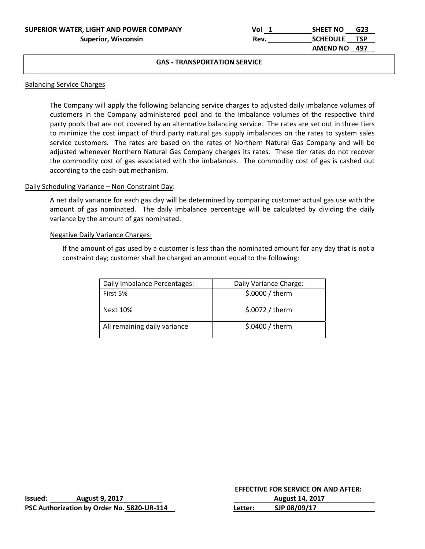| SUPERIOR WATER, LIGHT AND POWER COMPANY | Vol  | G23<br><b>SHEET NO</b> |  |
|-----------------------------------------|------|------------------------|--|
| Superior, Wisconsin                     | Rev. | SCHEDULE TSP           |  |
|                                         |      | AMEND NO 497           |  |

#### Balancing Service Charges

APPLICATION CONTINUES

The Company will apply the following balancing service charges to adjusted daily imbalance volumes of customers in the Company administered pool and to the imbalance volumes of the respective third party pools that are not covered by an alternative balancing service. The rates are set out in three tiers to minimize the cost impact of third party natural gas supply imbalances on the rates to system sales service customers. The rates are based on the rates of Northern Natural Gas Company and will be adjusted whenever Northern Natural Gas Company changes its rates. These tier rates do not recover the commodity cost of gas associated with the imbalances. The commodity cost of gas is cashed out according to the cash‐out mechanism.

#### Daily Scheduling Variance - Non-Constraint Day:

A net daily variance for each gas day will be determined by comparing customer actual gas use with the amount of gas nominated. The daily imbalance percentage will be calculated by dividing the daily variance by the amount of gas nominated.

#### Negative Daily Variance Charges:

If the amount of gas used by a customer is less than the nominated amount for any day that is not a constraint day; customer shall be charged an amount equal to the following:

| Daily Imbalance Percentages: | Daily Variance Charge: |
|------------------------------|------------------------|
| First 5%                     | \$.0000 / therm        |
|                              |                        |
| Next 10%                     | \$.0072 / therm        |
|                              |                        |
| All remaining daily variance | \$.0400 / therm        |
|                              |                        |

|         |                                            | <b>EFFECTIVE FOR SERVICE ON AND AFTER:</b> |                        |  |
|---------|--------------------------------------------|--------------------------------------------|------------------------|--|
| Issued: | <b>August 9, 2017</b>                      |                                            | <b>August 14, 2017</b> |  |
|         | PSC Authorization by Order No. 5820-UR-114 | Letter:                                    | SJP 08/09/17           |  |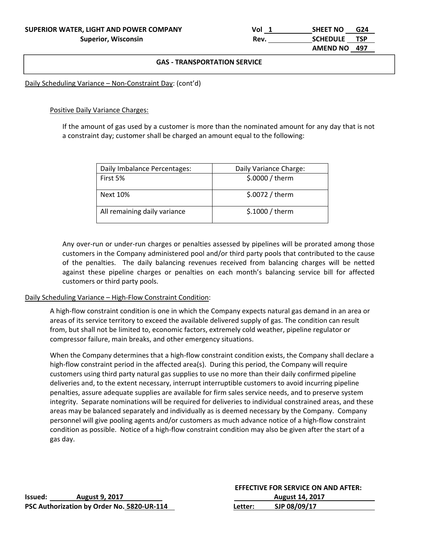APPLICATION CONTINUES

#### The former customers customers in single-family described. **GAS ‐ TRANSPORTATION SERVICE**

Daily Scheduling Variance – Non‐Constraint Day: (cont'd)

Positive Daily Variance Charges:

If the amount of gas used by a customer is more than the nominated amount for any day that is not a constraint day; customer shall be charged an amount equal to the following:

| Daily Imbalance Percentages: | Daily Variance Charge: |
|------------------------------|------------------------|
| First 5%                     | \$.0000 / them         |
| Next 10%                     | $$.0072 /$ therm       |
| All remaining daily variance | $$.1000 /$ therm       |

Any over‐run or under‐run charges or penalties assessed by pipelines will be prorated among those customers in the Company administered pool and/or third party pools that contributed to the cause of the penalties. The daily balancing revenues received from balancing charges will be netted against these pipeline charges or penalties on each month's balancing service bill for affected customers or third party pools.

#### Daily Scheduling Variance – High‐Flow Constraint Condition:

A high‐flow constraint condition is one in which the Company expects natural gas demand in an area or areas of its service territory to exceed the available delivered supply of gas. The condition can result from, but shall not be limited to, economic factors, extremely cold weather, pipeline regulator or compressor failure, main breaks, and other emergency situations.

When the Company determines that a high-flow constraint condition exists, the Company shall declare a high-flow constraint period in the affected area(s). During this period, the Company will require customers using third party natural gas supplies to use no more than their daily confirmed pipeline deliveries and, to the extent necessary, interrupt interruptible customers to avoid incurring pipeline penalties, assure adequate supplies are available for firm sales service needs, and to preserve system integrity. Separate nominations will be required for deliveries to individual constrained areas, and these areas may be balanced separately and individually as is deemed necessary by the Company. Company personnel will give pooling agents and/or customers as much advance notice of a high-flow constraint condition as possible. Notice of a high‐flow constraint condition may also be given after the start of a gas day.

|                |                                            |         | <b>EFFECTIVE FOR SERVICE ON AND AFTER:</b> |
|----------------|--------------------------------------------|---------|--------------------------------------------|
| <b>Issued:</b> | <b>August 9, 2017</b>                      |         | <b>August 14, 2017</b>                     |
|                | PSC Authorization by Order No. 5820-UR-114 | Letter: | SJP 08/09/17                               |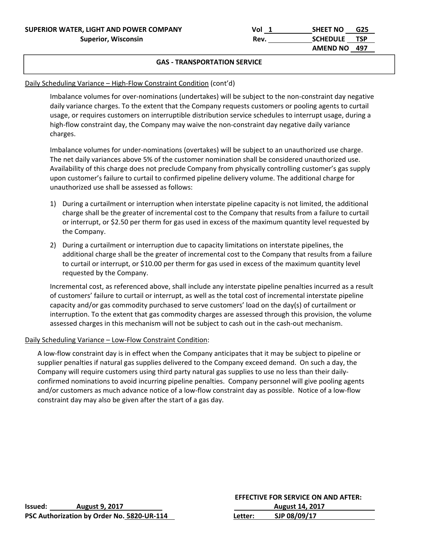APPLICATION CONTINUES

#### The former customers customers in single-family described. **GAS ‐ TRANSPORTATION SERVICE**

## Daily Scheduling Variance – High-Flow Constraint Condition (cont'd)

Imbalance volumes for over-nominations (undertakes) will be subject to the non-constraint day negative daily variance charges. To the extent that the Company requests customers or pooling agents to curtail usage, or requires customers on interruptible distribution service schedules to interrupt usage, during a high-flow constraint day, the Company may waive the non-constraint day negative daily variance charges.

Imbalance volumes for under‐nominations (overtakes) will be subject to an unauthorized use charge. The net daily variances above 5% of the customer nomination shall be considered unauthorized use. Availability of this charge does not preclude Company from physically controlling customer's gas supply upon customer's failure to curtail to confirmed pipeline delivery volume. The additional charge for unauthorized use shall be assessed as follows:

- 1) During a curtailment or interruption when interstate pipeline capacity is not limited, the additional charge shall be the greater of incremental cost to the Company that results from a failure to curtail or interrupt, or \$2.50 per therm for gas used in excess of the maximum quantity level requested by the Company.
- 2) During a curtailment or interruption due to capacity limitations on interstate pipelines, the additional charge shall be the greater of incremental cost to the Company that results from a failure to curtail or interrupt, or \$10.00 per therm for gas used in excess of the maximum quantity level requested by the Company.

Incremental cost, as referenced above, shall include any interstate pipeline penalties incurred as a result of customers' failure to curtail or interrupt, as well as the total cost of incremental interstate pipeline capacity and/or gas commodity purchased to serve customers' load on the day(s) of curtailment or interruption. To the extent that gas commodity charges are assessed through this provision, the volume assessed charges in this mechanism will not be subject to cash out in the cash-out mechanism.

## Daily Scheduling Variance – Low‐Flow Constraint Condition:

A low‐flow constraint day is in effect when the Company anticipates that it may be subject to pipeline or supplier penalties if natural gas supplies delivered to the Company exceed demand. On such a day, the Company will require customers using third party natural gas supplies to use no less than their daily‐ confirmed nominations to avoid incurring pipeline penalties. Company personnel will give pooling agents and/or customers as much advance notice of a low‐flow constraint day as possible. Notice of a low‐flow constraint day may also be given after the start of a gas day.

|         |                                            |         | <b>EFFECTIVE FOR SERVICE ON AND AFTER:</b> |
|---------|--------------------------------------------|---------|--------------------------------------------|
| lssued: | <b>August 9, 2017</b>                      |         | <b>August 14, 2017</b>                     |
|         | PSC Authorization by Order No. 5820-UR-114 | Letter: | SJP 08/09/17                               |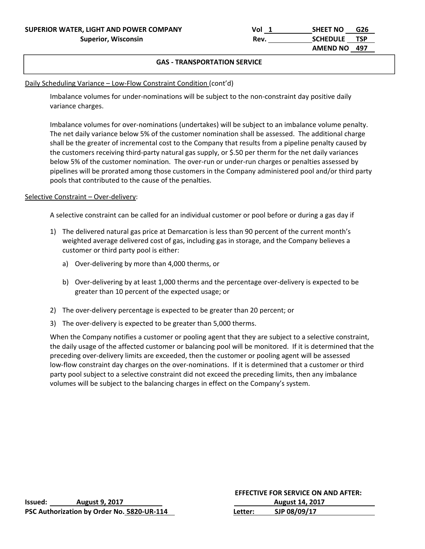APPLICATION CONTINUES

#### The former customers customers in single-family described. **GAS ‐ TRANSPORTATION SERVICE**

## Daily Scheduling Variance – Low-Flow Constraint Condition (cont'd)

Imbalance volumes for under‐nominations will be subject to the non‐constraint day positive daily variance charges.

Imbalance volumes for over-nominations (undertakes) will be subject to an imbalance volume penalty. The net daily variance below 5% of the customer nomination shall be assessed. The additional charge shall be the greater of incremental cost to the Company that results from a pipeline penalty caused by the customers receiving third‐party natural gas supply, or \$.50 per therm for the net daily variances below 5% of the customer nomination. The over-run or under-run charges or penalties assessed by pipelines will be prorated among those customers in the Company administered pool and/or third party pools that contributed to the cause of the penalties.

## Selective Constraint – Over-delivery:

A selective constraint can be called for an individual customer or pool before or during a gas day if

- 1) The delivered natural gas price at Demarcation is less than 90 percent of the current month's weighted average delivered cost of gas, including gas in storage, and the Company believes a customer or third party pool is either:
	- a) Over-delivering by more than 4,000 therms, or
	- b) Over-delivering by at least 1,000 therms and the percentage over-delivery is expected to be greater than 10 percent of the expected usage; or
- 2) The over-delivery percentage is expected to be greater than 20 percent; or
- 3) The over-delivery is expected to be greater than 5,000 therms.

When the Company notifies a customer or pooling agent that they are subject to a selective constraint, the daily usage of the affected customer or balancing pool will be monitored. If it is determined that the preceding over‐delivery limits are exceeded, then the customer or pooling agent will be assessed low-flow constraint day charges on the over-nominations. If it is determined that a customer or third party pool subject to a selective constraint did not exceed the preceding limits, then any imbalance volumes will be subject to the balancing charges in effect on the Company's system.

|         |                                            |         | <b>EFFECTIVE FOR SERVICE ON AND AFTER:</b> |
|---------|--------------------------------------------|---------|--------------------------------------------|
| Issued: | <b>August 9, 2017</b>                      |         | <b>August 14, 2017</b>                     |
|         | PSC Authorization by Order No. 5820-UR-114 | Letter: | SJP 08/09/17                               |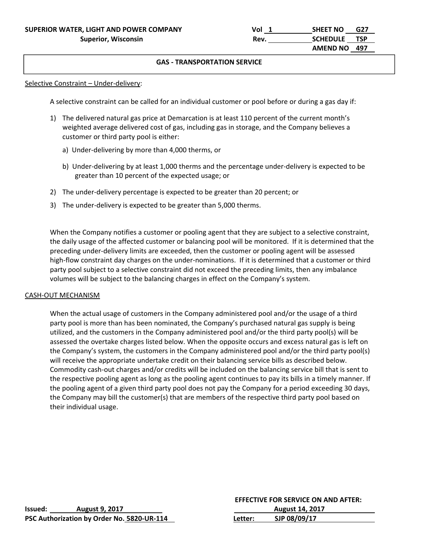Selective Constraint – Under-delivery:

APPLICATION CONTINUES

A selective constraint can be called for an individual customer or pool before or during a gas day if:

- 1) The delivered natural gas price at Demarcation is at least 110 percent of the current month's weighted average delivered cost of gas, including gas in storage, and the Company believes a customer or third party pool is either:
	- a) Under‐delivering by more than 4,000 therms, or
	- b) Under‐delivering by at least 1,000 therms and the percentage under‐delivery is expected to be greater than 10 percent of the expected usage; or
- 2) The under-delivery percentage is expected to be greater than 20 percent; or
- 3) The under-delivery is expected to be greater than 5,000 therms.

When the Company notifies a customer or pooling agent that they are subject to a selective constraint, the daily usage of the affected customer or balancing pool will be monitored. If it is determined that the preceding under‐delivery limits are exceeded, then the customer or pooling agent will be assessed high-flow constraint day charges on the under-nominations. If it is determined that a customer or third party pool subject to a selective constraint did not exceed the preceding limits, then any imbalance volumes will be subject to the balancing charges in effect on the Company's system.

#### CASH‐OUT MECHANISM

When the actual usage of customers in the Company administered pool and/or the usage of a third party pool is more than has been nominated, the Company's purchased natural gas supply is being utilized, and the customers in the Company administered pool and/or the third party pool(s) will be assessed the overtake charges listed below. When the opposite occurs and excess natural gas is left on the Company's system, the customers in the Company administered pool and/or the third party pool(s) will receive the appropriate undertake credit on their balancing service bills as described below. Commodity cash‐out charges and/or credits will be included on the balancing service bill that is sent to the respective pooling agent as long as the pooling agent continues to pay its bills in a timely manner. If the pooling agent of a given third party pool does not pay the Company for a period exceeding 30 days, the Company may bill the customer(s) that are members of the respective third party pool based on their individual usage.

|         |                                            | <b>EFFECTIVE FOR SERVICE ON AND AFTER:</b> |                        |
|---------|--------------------------------------------|--------------------------------------------|------------------------|
| lssued: | <b>August 9, 2017</b>                      |                                            | <b>August 14, 2017</b> |
|         | PSC Authorization by Order No. 5820-UR-114 | Letter:                                    | SJP 08/09/17           |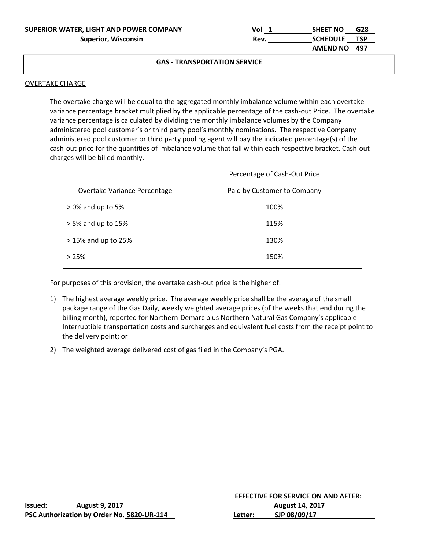| SUPERIOR WATER, LIGHT AND POWER COMPANY | Vol  | <b>SHEET NO</b> | G28 |
|-----------------------------------------|------|-----------------|-----|
| <b>Superior, Wisconsin</b>              | Rev. | SCHEDULE TSP    |     |
|                                         |      | AMEND NO 497    |     |

#### OVERTAKE CHARGE

APPLICATION CONTINUES

The overtake charge will be equal to the aggregated monthly imbalance volume within each overtake variance percentage bracket multiplied by the applicable percentage of the cash-out Price. The overtake variance percentage is calculated by dividing the monthly imbalance volumes by the Company administered pool customer's or third party pool's monthly nominations. The respective Company administered pool customer or third party pooling agent will pay the indicated percentage(s) of the cash-out price for the quantities of imbalance volume that fall within each respective bracket. Cash-out charges will be billed monthly.

|                              | Percentage of Cash-Out Price |
|------------------------------|------------------------------|
| Overtake Variance Percentage | Paid by Customer to Company  |
| $>0\%$ and up to 5%          | 100%                         |
| $> 5\%$ and up to 15%        | 115%                         |
| $>15\%$ and up to 25%        | 130%                         |
| >25%                         | 150%                         |

For purposes of this provision, the overtake cash-out price is the higher of:

- 1) The highest average weekly price. The average weekly price shall be the average of the small package range of the Gas Daily, weekly weighted average prices (of the weeks that end during the billing month), reported for Northern‐Demarc plus Northern Natural Gas Company's applicable Interruptible transportation costs and surcharges and equivalent fuel costs from the receipt point to the delivery point; or
- 2) The weighted average delivered cost of gas filed in the Company's PGA.

|                                            |                       | <b>EFFECTIVE FOR SERVICE ON AND AFTER:</b> |                        |  |  |
|--------------------------------------------|-----------------------|--------------------------------------------|------------------------|--|--|
| Issued:                                    | <b>August 9, 2017</b> |                                            | <b>August 14, 2017</b> |  |  |
| PSC Authorization by Order No. 5820-UR-114 |                       | Letter:                                    | SJP 08/09/17           |  |  |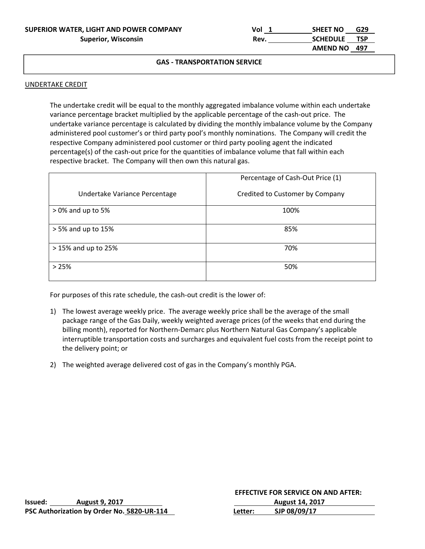| SUPERIOR WATER, LIGHT AND POWER COMPANY | Vol  | G29<br><b>SHEET NO</b>        |  |
|-----------------------------------------|------|-------------------------------|--|
| <b>Superior, Wisconsin</b>              | Rev. | <b>TSP</b><br><b>SCHEDULE</b> |  |
|                                         |      | AMEND NO 497                  |  |

#### UNDERTAKE CREDIT

APPLICATION CONTINUES

The undertake credit will be equal to the monthly aggregated imbalance volume within each undertake variance percentage bracket multiplied by the applicable percentage of the cash‐out price. The undertake variance percentage is calculated by dividing the monthly imbalance volume by the Company administered pool customer's or third party pool's monthly nominations. The Company will credit the respective Company administered pool customer or third party pooling agent the indicated percentage(s) of the cash-out price for the quantities of imbalance volume that fall within each respective bracket. The Company will then own this natural gas.

|                               | Percentage of Cash-Out Price (1) |
|-------------------------------|----------------------------------|
| Undertake Variance Percentage | Credited to Customer by Company  |
| $>0\%$ and up to 5%           | 100%                             |
| > 5% and up to 15%            | 85%                              |
| > 15% and up to 25%           | 70%                              |
| >25%                          | 50%                              |

For purposes of this rate schedule, the cash-out credit is the lower of:

- 1) The lowest average weekly price. The average weekly price shall be the average of the small package range of the Gas Daily, weekly weighted average prices (of the weeks that end during the billing month), reported for Northern‐Demarc plus Northern Natural Gas Company's applicable interruptible transportation costs and surcharges and equivalent fuel costs from the receipt point to the delivery point; or
- 2) The weighted average delivered cost of gas in the Company's monthly PGA.

|         |                                            | <b>EFFECTIVE FOR SERVICE ON AND AFTER:</b> |                        |
|---------|--------------------------------------------|--------------------------------------------|------------------------|
| Issued: | <b>August 9, 2017</b>                      |                                            | <b>August 14, 2017</b> |
|         | PSC Authorization by Order No. 5820-UR-114 | Letter:                                    | SJP 08/09/17           |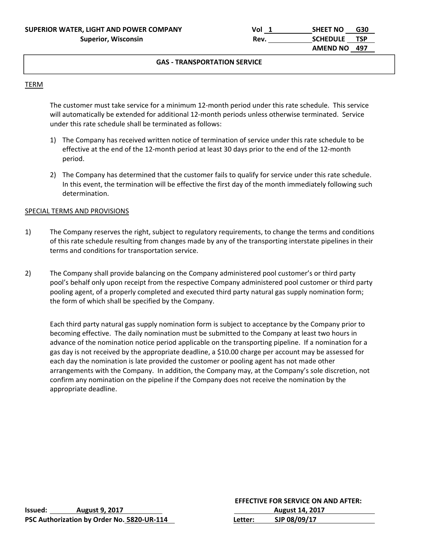### TERM

APPLICATION CONTINUES

The customer must take service for a minimum 12-month period under this rate schedule. This service will automatically be extended for additional 12-month periods unless otherwise terminated. Service under this rate schedule shall be terminated as follows:

- 1) The Company has received written notice of termination of service under this rate schedule to be effective at the end of the 12‐month period at least 30 days prior to the end of the 12‐month period.
- 2) The Company has determined that the customer fails to qualify for service under this rate schedule. In this event, the termination will be effective the first day of the month immediately following such determination.

#### SPECIAL TERMS AND PROVISIONS

- 1) The Company reserves the right, subject to regulatory requirements, to change the terms and conditions of this rate schedule resulting from changes made by any of the transporting interstate pipelines in their terms and conditions for transportation service.
- 2) The Company shall provide balancing on the Company administered pool customer's or third party pool's behalf only upon receipt from the respective Company administered pool customer or third party pooling agent, of a properly completed and executed third party natural gas supply nomination form; the form of which shall be specified by the Company.

Each third party natural gas supply nomination form is subject to acceptance by the Company prior to becoming effective. The daily nomination must be submitted to the Company at least two hours in advance of the nomination notice period applicable on the transporting pipeline. If a nomination for a gas day is not received by the appropriate deadline, a \$10.00 charge per account may be assessed for each day the nomination is late provided the customer or pooling agent has not made other arrangements with the Company. In addition, the Company may, at the Company's sole discretion, not confirm any nomination on the pipeline if the Company does not receive the nomination by the appropriate deadline.

|         |                                            |         | <b>EFFECTIVE FOR SERVICE ON AND AFTER:</b> |
|---------|--------------------------------------------|---------|--------------------------------------------|
| lssued: | <b>August 9, 2017</b>                      |         | <b>August 14, 2017</b>                     |
|         | PSC Authorization by Order No. 5820-UR-114 | Letter: | SJP 08/09/17                               |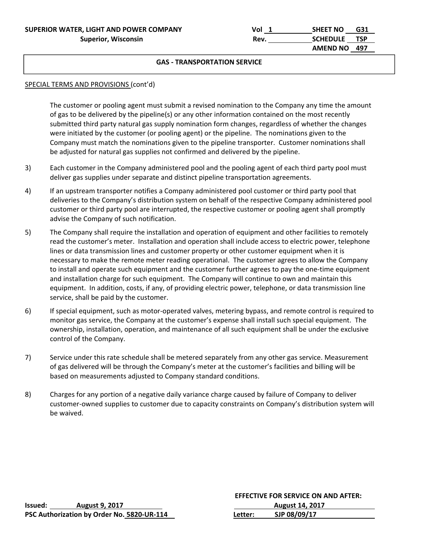| SUPERIOR WATER, LIGHT AND POWER COMPANY | Vol  | <b>SHEET NO</b><br>G31 |  |
|-----------------------------------------|------|------------------------|--|
| <b>Superior, Wisconsin</b>              | Rev. | SCHEDULE TSP           |  |
|                                         |      | AMEND NO 497           |  |

#### SPECIAL TERMS AND PROVISIONS (cont'd)

APPLICATION CONTINUES

The customer or pooling agent must submit a revised nomination to the Company any time the amount of gas to be delivered by the pipeline(s) or any other information contained on the most recently submitted third party natural gas supply nomination form changes, regardless of whether the changes were initiated by the customer (or pooling agent) or the pipeline. The nominations given to the Company must match the nominations given to the pipeline transporter. Customer nominations shall be adjusted for natural gas supplies not confirmed and delivered by the pipeline.

- 3) Each customer in the Company administered pool and the pooling agent of each third party pool must deliver gas supplies under separate and distinct pipeline transportation agreements.
- 4) If an upstream transporter notifies a Company administered pool customer or third party pool that deliveries to the Company's distribution system on behalf of the respective Company administered pool customer or third party pool are interrupted, the respective customer or pooling agent shall promptly advise the Company of such notification.
- 5) The Company shall require the installation and operation of equipment and other facilities to remotely read the customer's meter. Installation and operation shall include access to electric power, telephone lines or data transmission lines and customer property or other customer equipment when it is necessary to make the remote meter reading operational. The customer agrees to allow the Company to install and operate such equipment and the customer further agrees to pay the one‐time equipment and installation charge for such equipment. The Company will continue to own and maintain this equipment. In addition, costs, if any, of providing electric power, telephone, or data transmission line service, shall be paid by the customer.
- 6) If special equipment, such as motor‐operated valves, metering bypass, and remote control is required to monitor gas service, the Company at the customer's expense shall install such special equipment. The ownership, installation, operation, and maintenance of all such equipment shall be under the exclusive control of the Company.
- 7) Service under this rate schedule shall be metered separately from any other gas service. Measurement of gas delivered will be through the Company's meter at the customer's facilities and billing will be based on measurements adjusted to Company standard conditions.
- 8) Charges for any portion of a negative daily variance charge caused by failure of Company to deliver customer‐owned supplies to customer due to capacity constraints on Company's distribution system will be waived.

|                                            |                       |         | <b>EFFECTIVE FOR SERVICE ON AND AFTER:</b> |  |
|--------------------------------------------|-----------------------|---------|--------------------------------------------|--|
| lssued:                                    | <b>August 9, 2017</b> |         | <b>August 14, 2017</b>                     |  |
| PSC Authorization by Order No. 5820-UR-114 |                       | Letter: | SJP 08/09/17                               |  |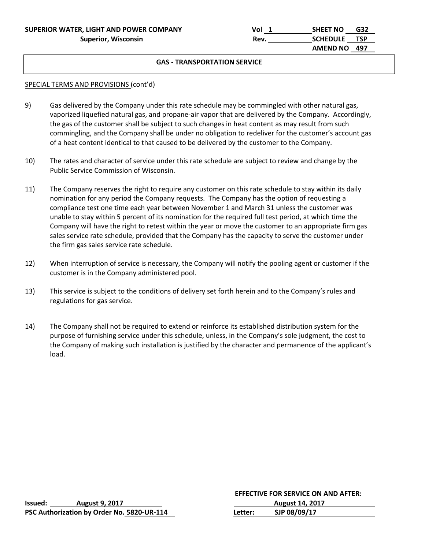#### SPECIAL TERMS AND PROVISIONS (cont'd)

APPLICATION CONTINUES

- 9) Gas delivered by the Company under this rate schedule may be commingled with other natural gas, vaporized liquefied natural gas, and propane‐air vapor that are delivered by the Company. Accordingly, the gas of the customer shall be subject to such changes in heat content as may result from such commingling, and the Company shall be under no obligation to redeliver for the customer's account gas of a heat content identical to that caused to be delivered by the customer to the Company.
- 10) The rates and character of service under this rate schedule are subject to review and change by the Public Service Commission of Wisconsin.
- 11) The Company reserves the right to require any customer on this rate schedule to stay within its daily nomination for any period the Company requests. The Company has the option of requesting a compliance test one time each year between November 1 and March 31 unless the customer was unable to stay within 5 percent of its nomination for the required full test period, at which time the Company will have the right to retest within the year or move the customer to an appropriate firm gas sales service rate schedule, provided that the Company has the capacity to serve the customer under the firm gas sales service rate schedule.
- 12) When interruption of service is necessary, the Company will notify the pooling agent or customer if the customer is in the Company administered pool.
- 13) This service is subject to the conditions of delivery set forth herein and to the Company's rules and regulations for gas service.
- 14) The Company shall not be required to extend or reinforce its established distribution system for the purpose of furnishing service under this schedule, unless, in the Company's sole judgment, the cost to the Company of making such installation is justified by the character and permanence of the applicant's load.

|         |                                            | <b>EFFECTIVE FOR SERVICE ON AND AFTER:</b> |                        |
|---------|--------------------------------------------|--------------------------------------------|------------------------|
| Issued: | <b>August 9, 2017</b>                      |                                            | <b>August 14, 2017</b> |
|         | PSC Authorization by Order No. 5820-UR-114 | Letter:                                    | SJP 08/09/17           |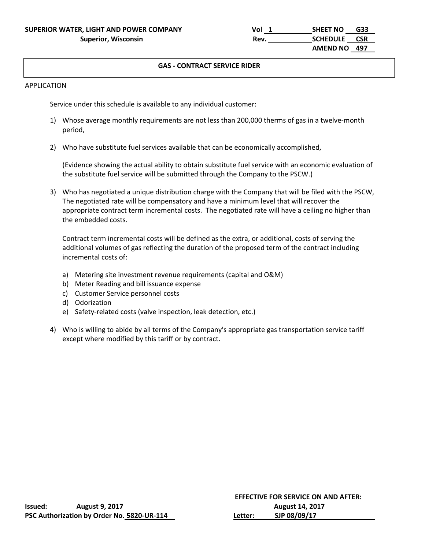#### **GAS ‐ CONTRACT SERVICE RIDER**

#### APPLICATION

Service under this schedule is available to any individual customer:

- 1) Whose average monthly requirements are not less than 200,000 therms of gas in a twelve-month period,
- 2) Who have substitute fuel services available that can be economically accomplished,

(Evidence showing the actual ability to obtain substitute fuel service with an economic evaluation of the substitute fuel service will be submitted through the Company to the PSCW.)

3) Who has negotiated a unique distribution charge with the Company that will be filed with the PSCW, The negotiated rate will be compensatory and have a minimum level that will recover the appropriate contract term incremental costs. The negotiated rate will have a ceiling no higher than the embedded costs.

Contract term incremental costs will be defined as the extra, or additional, costs of serving the additional volumes of gas reflecting the duration of the proposed term of the contract including incremental costs of:

- a) Metering site investment revenue requirements (capital and O&M)
- b) Meter Reading and bill issuance expense
- c) Customer Service personnel costs
- d) Odorization
- e) Safety‐related costs (valve inspection, leak detection, etc.)
- 4) Who is willing to abide by all terms of the Company's appropriate gas transportation service tariff except where modified by this tariff or by contract.

|                                            |                       | <b>EFFECTIVE FOR SERVICE ON AND AFTER:</b> |                        |  |
|--------------------------------------------|-----------------------|--------------------------------------------|------------------------|--|
| Issued:                                    | <b>August 9, 2017</b> |                                            | <b>August 14, 2017</b> |  |
| PSC Authorization by Order No. 5820-UR-114 |                       | Letter:                                    | SJP 08/09/17           |  |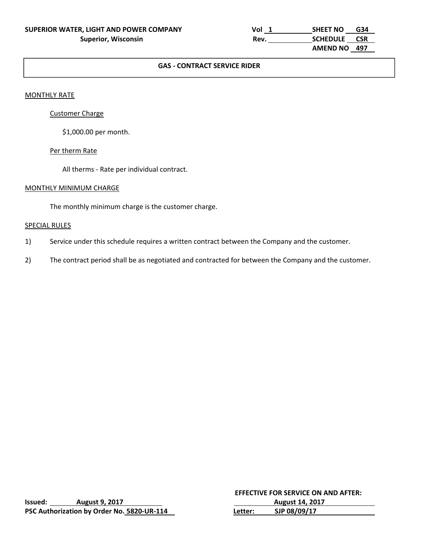| SUPERIOR WATER, LIGHT AND POWER COMPANY | Vol  | G34<br><b>SHEET NO</b>        |  |
|-----------------------------------------|------|-------------------------------|--|
| <b>Superior, Wisconsin</b>              | Rev. | <b>CSR</b><br><b>SCHEDULE</b> |  |
|                                         |      | AMEND NO 497                  |  |

## **GAS ‐ CONTRACT SERVICE RIDER**

#### MONTHLY RATE

#### Customer Charge

\$1,000.00 per month.

#### Per therm Rate

All therms ‐ Rate per individual contract.

#### MONTHLY MINIMUM CHARGE

The monthly minimum charge is the customer charge.

## SPECIAL RULES

- 1) Service under this schedule requires a written contract between the Company and the customer.
- 2) The contract period shall be as negotiated and contracted for between the Company and the customer.

|         |                                            | <b>EFFECTIVE FOR SERVICE ON AND AFTER:</b> |                        |
|---------|--------------------------------------------|--------------------------------------------|------------------------|
| lssued: | <b>August 9, 2017</b>                      |                                            | <b>August 14, 2017</b> |
|         | PSC Authorization by Order No. 5820-UR-114 | Letter:                                    | SJP 08/09/17           |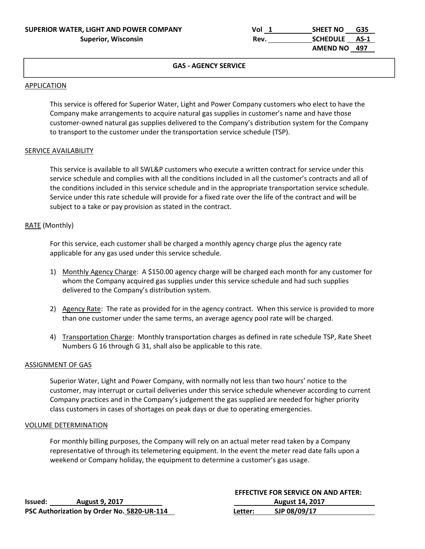| SUPERIOR WATER, LIGHT AND POWER COMPANY | Vol  | G35<br><b>SHEET NO</b>  |  |
|-----------------------------------------|------|-------------------------|--|
| <b>Superior, Wisconsin</b>              | Rev. | <b>SCHEDULE</b><br>AS-1 |  |
|                                         |      | AMEND NO 497            |  |

#### **GAS ‐ AGENCY SERVICE**

#### APPLICATION

This service is offered for Superior Water, Light and Power Company customers who elect to have the Company make arrangements to acquire natural gas supplies in customer's name and have those customer‐owned natural gas supplies delivered to the Company's distribution system for the Company to transport to the customer under the transportation service schedule (TSP).

#### SERVICE AVAILABILITY

This service is available to all SWL&P customers who execute a written contract for service under this service schedule and complies with all the conditions included in all the customer's contracts and all of the conditions included in this service schedule and in the appropriate transportation service schedule. Service under this rate schedule will provide for a fixed rate over the life of the contract and will be subject to a take or pay provision as stated in the contract.

#### RATE (Monthly)

For this service, each customer shall be charged a monthly agency charge plus the agency rate applicable for any gas used under this service schedule.

- 1) Monthly Agency Charge: A \$150.00 agency charge will be charged each month for any customer for whom the Company acquired gas supplies under this service schedule and had such supplies delivered to the Company's distribution system.
- 2) Agency Rate: The rate as provided for in the agency contract. When this service is provided to more than one customer under the same terms, an average agency pool rate will be charged.
- 4) Transportation Charge: Monthly transportation charges as defined in rate schedule TSP, Rate Sheet Numbers G 16 through G 31, shall also be applicable to this rate.

#### ASSIGNMENT OF GAS

Superior Water, Light and Power Company, with normally not less than two hours' notice to the customer, may interrupt or curtail deliveries under this service schedule whenever according to current Company practices and in the Company's judgement the gas supplied are needed for higher priority class customers in cases of shortages on peak days or due to operating emergencies.

#### VOLUME DETERMINATION

 For monthly billing purposes, the Company will rely on an actual meter read taken by a Company representative of through its telemetering equipment. In the event the meter read date falls upon a weekend or Company holiday, the equipment to determine a customer's gas usage.

|         |                                            |         | <b>EFFECTIVE FOR SERVICE ON AND AFTER:</b> |
|---------|--------------------------------------------|---------|--------------------------------------------|
| lssued: | <b>August 9, 2017</b>                      |         | <b>August 14, 2017</b>                     |
|         | PSC Authorization by Order No. 5820-UR-114 | Letter: | SJP 08/09/17                               |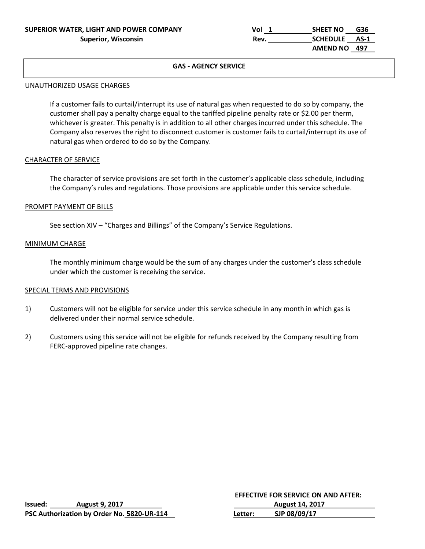| SUPERIOR WATER, LIGHT AND POWER COMPANY | Vol  | G36<br><b>SHEET NO</b>  |  |
|-----------------------------------------|------|-------------------------|--|
| <b>Superior, Wisconsin</b>              | Rev. | <b>SCHEDULE</b><br>AS-1 |  |
|                                         |      | AMEND NO 497            |  |

## **GAS ‐ AGENCY SERVICE**

#### UNAUTHORIZED USAGE CHARGES

If a customer fails to curtail/interrupt its use of natural gas when requested to do so by company, the customer shall pay a penalty charge equal to the tariffed pipeline penalty rate or \$2.00 per therm, whichever is greater. This penalty is in addition to all other charges incurred under this schedule. The Company also reserves the right to disconnect customer is customer fails to curtail/interrupt its use of natural gas when ordered to do so by the Company.

#### CHARACTER OF SERVICE

The character of service provisions are set forth in the customer's applicable class schedule, including the Company's rules and regulations. Those provisions are applicable under this service schedule.

#### PROMPT PAYMENT OF BILLS

See section XIV – "Charges and Billings" of the Company's Service Regulations.

#### MINIMUM CHARGE

The monthly minimum charge would be the sum of any charges under the customer's class schedule under which the customer is receiving the service.

#### SPECIAL TERMS AND PROVISIONS

- 1) Customers will not be eligible for service under this service schedule in any month in which gas is delivered under their normal service schedule.
- 2) Customers using this service will not be eligible for refunds received by the Company resulting from FERC‐approved pipeline rate changes.

|         |                                            |         | <b>EFFECTIVE FOR SERVICE ON AND AFTER:</b> |
|---------|--------------------------------------------|---------|--------------------------------------------|
| lssued: | <b>August 9, 2017</b>                      |         | <b>August 14, 2017</b>                     |
|         | PSC Authorization by Order No. 5820-UR-114 | Letter: | SJP 08/09/17                               |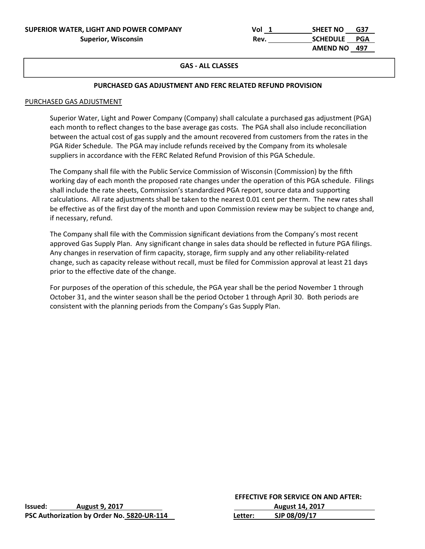| SUPERIOR WATER, LIGHT AND POWER COMPANY | Vol  | G37<br><b>SHEET NO</b> |
|-----------------------------------------|------|------------------------|
| <b>Superior, Wisconsin</b>              | Rev. | <b>SCHEDULE</b><br>PGA |
|                                         |      | AMEND NO 497           |

### **GAS ‐ ALL CLASSES**

#### **PURCHASED GAS ADJUSTMENT AND FERC RELATED REFUND PROVISION**

#### PURCHASED GAS ADJUSTMENT

Superior Water, Light and Power Company (Company) shall calculate a purchased gas adjustment (PGA) each month to reflect changes to the base average gas costs. The PGA shall also include reconciliation between the actual cost of gas supply and the amount recovered from customers from the rates in the PGA Rider Schedule. The PGA may include refunds received by the Company from its wholesale suppliers in accordance with the FERC Related Refund Provision of this PGA Schedule.

The Company shall file with the Public Service Commission of Wisconsin (Commission) by the fifth working day of each month the proposed rate changes under the operation of this PGA schedule. Filings shall include the rate sheets, Commission's standardized PGA report, source data and supporting calculations. All rate adjustments shall be taken to the nearest 0.01 cent per therm. The new rates shall be effective as of the first day of the month and upon Commission review may be subject to change and, if necessary, refund.

The Company shall file with the Commission significant deviations from the Company's most recent approved Gas Supply Plan. Any significant change in sales data should be reflected in future PGA filings. Any changes in reservation of firm capacity, storage, firm supply and any other reliability‐related change, such as capacity release without recall, must be filed for Commission approval at least 21 days prior to the effective date of the change.

For purposes of the operation of this schedule, the PGA year shall be the period November 1 through October 31, and the winter season shall be the period October 1 through April 30. Both periods are consistent with the planning periods from the Company's Gas Supply Plan.

|         |                                            | <b>EFFECTIVE FOR SERVICE ON AND AFTER:</b> |                        |
|---------|--------------------------------------------|--------------------------------------------|------------------------|
| lssued: | <b>August 9, 2017</b>                      |                                            | <b>August 14, 2017</b> |
|         | PSC Authorization by Order No. 5820-UR-114 | Letter:                                    | SJP 08/09/17           |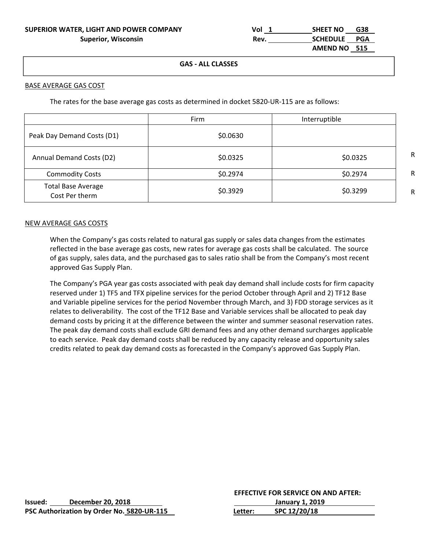| Vol  | <b>SHEET NO</b> | G38 |
|------|-----------------|-----|
| Rev. | SCHEDULE PGA    |     |
|      | AMEND NO 515    |     |

#### **GAS ‐ ALL CLASSES**

#### BASE AVERAGE GAS COST

The rates for the base average gas costs as determined in docket 5820-UR-115 are as follows:

|                                             | Firm     | Interruptible |
|---------------------------------------------|----------|---------------|
| Peak Day Demand Costs (D1)                  | \$0.0630 |               |
| Annual Demand Costs (D2)                    | \$0.0325 | \$0.0325      |
| <b>Commodity Costs</b>                      | \$0.2974 | \$0.2974      |
| <b>Total Base Average</b><br>Cost Per therm | \$0.3929 | \$0.3299      |

#### NEW AVERAGE GAS COSTS

When the Company's gas costs related to natural gas supply or sales data changes from the estimates reflected in the base average gas costs, new rates for average gas costs shall be calculated. The source of gas supply, sales data, and the purchased gas to sales ratio shall be from the Company's most recent approved Gas Supply Plan.

The Company's PGA year gas costs associated with peak day demand shall include costs for firm capacity reserved under 1) TF5 and TFX pipeline services for the period October through April and 2) TF12 Base and Variable pipeline services for the period November through March, and 3) FDD storage services as it relates to deliverability. The cost of the TF12 Base and Variable services shall be allocated to peak day demand costs by pricing it at the difference between the winter and summer seasonal reservation rates. The peak day demand costs shall exclude GRI demand fees and any other demand surcharges applicable to each service. Peak day demand costs shall be reduced by any capacity release and opportunity sales credits related to peak day demand costs as forecasted in the Company's approved Gas Supply Plan.

|         |                                            |         | <b>EFFECTIVE FOR SERVICE ON AND AFTER:</b> |  |
|---------|--------------------------------------------|---------|--------------------------------------------|--|
| Issued: | December 20, 2018                          |         | January 1. 2019                            |  |
|         | PSC Authorization by Order No. 5820-UR-115 | Letter: | SPC 12/20/18                               |  |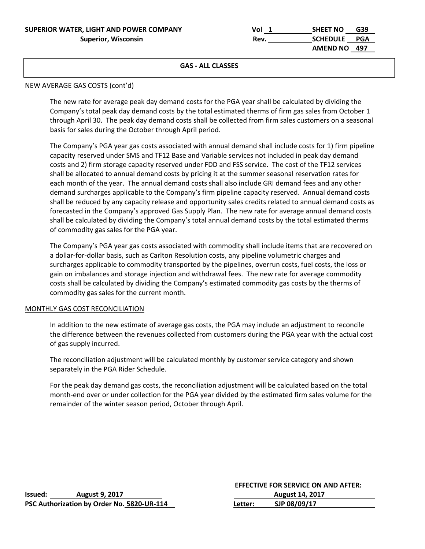| SUPERIOR WATER, LIGHT AND POWER COMPANY | Vol  | G39<br>SHEET NO     |
|-----------------------------------------|------|---------------------|
| <b>Superior, Wisconsin</b>              | Rev. | <b>SCHEDULE PGA</b> |
|                                         |      | AMEND NO 497        |

#### **GAS ‐ ALL CLASSES**

#### NEW AVERAGE GAS COSTS (cont'd)

The new rate for average peak day demand costs for the PGA year shall be calculated by dividing the Company's total peak day demand costs by the total estimated therms of firm gas sales from October 1 through April 30. The peak day demand costs shall be collected from firm sales customers on a seasonal basis for sales during the October through April period.

The Company's PGA year gas costs associated with annual demand shall include costs for 1) firm pipeline capacity reserved under SMS and TF12 Base and Variable services not included in peak day demand costs and 2) firm storage capacity reserved under FDD and FSS service. The cost of the TF12 services shall be allocated to annual demand costs by pricing it at the summer seasonal reservation rates for each month of the year. The annual demand costs shall also include GRI demand fees and any other demand surcharges applicable to the Company's firm pipeline capacity reserved. Annual demand costs shall be reduced by any capacity release and opportunity sales credits related to annual demand costs as forecasted in the Company's approved Gas Supply Plan. The new rate for average annual demand costs shall be calculated by dividing the Company's total annual demand costs by the total estimated therms of commodity gas sales for the PGA year.

The Company's PGA year gas costs associated with commodity shall include items that are recovered on a dollar‐for‐dollar basis, such as Carlton Resolution costs, any pipeline volumetric charges and surcharges applicable to commodity transported by the pipelines, overrun costs, fuel costs, the loss or gain on imbalances and storage injection and withdrawal fees. The new rate for average commodity costs shall be calculated by dividing the Company's estimated commodity gas costs by the therms of commodity gas sales for the current month.

#### MONTHLY GAS COST RECONCILIATION

In addition to the new estimate of average gas costs, the PGA may include an adjustment to reconcile the difference between the revenues collected from customers during the PGA year with the actual cost of gas supply incurred.

The reconciliation adjustment will be calculated monthly by customer service category and shown separately in the PGA Rider Schedule.

For the peak day demand gas costs, the reconciliation adjustment will be calculated based on the total month-end over or under collection for the PGA year divided by the estimated firm sales volume for the remainder of the winter season period, October through April.

| Issued: | <b>August 9, 2017</b>                      | <b>August 14, 2017</b> |              |  |
|---------|--------------------------------------------|------------------------|--------------|--|
|         | PSC Authorization by Order No. 5820-UR-114 | Letter:                | SJP 08/09/17 |  |

#### **EFFECTIVE FOR SERVICE ON AND AFTER:**

| Issued: | <b>August 9, 2017</b>                      |         | <b>August 14, 2017</b> |  |
|---------|--------------------------------------------|---------|------------------------|--|
|         | PSC Authorization by Order No. 5820-UR-114 | Letter: | SJP 08/09/17           |  |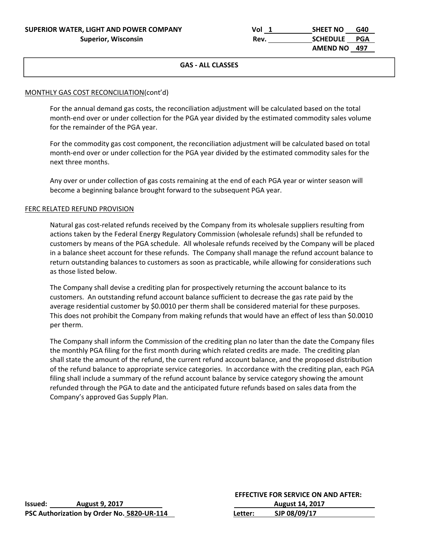| SUPERIOR WATER, LIGHT AND POWER COMPANY | Vol  | SHEET NO     | G40 |
|-----------------------------------------|------|--------------|-----|
| <b>Superior, Wisconsin</b>              | Rev. | SCHEDULE PGA |     |
|                                         |      | AMEND NO 497 |     |

### **GAS ‐ ALL CLASSES**

#### MONTHLY GAS COST RECONCILIATION(cont'd)

For the annual demand gas costs, the reconciliation adjustment will be calculated based on the total month-end over or under collection for the PGA year divided by the estimated commodity sales volume for the remainder of the PGA year.

For the commodity gas cost component, the reconciliation adjustment will be calculated based on total month-end over or under collection for the PGA year divided by the estimated commodity sales for the next three months.

Any over or under collection of gas costs remaining at the end of each PGA year or winter season will become a beginning balance brought forward to the subsequent PGA year.

#### FERC RELATED REFUND PROVISION

Natural gas cost-related refunds received by the Company from its wholesale suppliers resulting from actions taken by the Federal Energy Regulatory Commission (wholesale refunds) shall be refunded to customers by means of the PGA schedule. All wholesale refunds received by the Company will be placed in a balance sheet account for these refunds. The Company shall manage the refund account balance to return outstanding balances to customers as soon as practicable, while allowing for considerations such as those listed below.

The Company shall devise a crediting plan for prospectively returning the account balance to its customers. An outstanding refund account balance sufficient to decrease the gas rate paid by the average residential customer by \$0.0010 per therm shall be considered material for these purposes. This does not prohibit the Company from making refunds that would have an effect of less than \$0.0010 per therm.

The Company shall inform the Commission of the crediting plan no later than the date the Company files the monthly PGA filing for the first month during which related credits are made. The crediting plan shall state the amount of the refund, the current refund account balance, and the proposed distribution of the refund balance to appropriate service categories. In accordance with the crediting plan, each PGA filing shall include a summary of the refund account balance by service category showing the amount refunded through the PGA to date and the anticipated future refunds based on sales data from the Company's approved Gas Supply Plan.

|         |                                            | <b>EFFECTIVE FOR SERVICE ON AND AFTER:</b> |                        |  |
|---------|--------------------------------------------|--------------------------------------------|------------------------|--|
| lssued: | <b>August 9, 2017</b>                      |                                            | <b>August 14, 2017</b> |  |
|         | PSC Authorization by Order No. 5820-UR-114 | Letter:                                    | SJP 08/09/17           |  |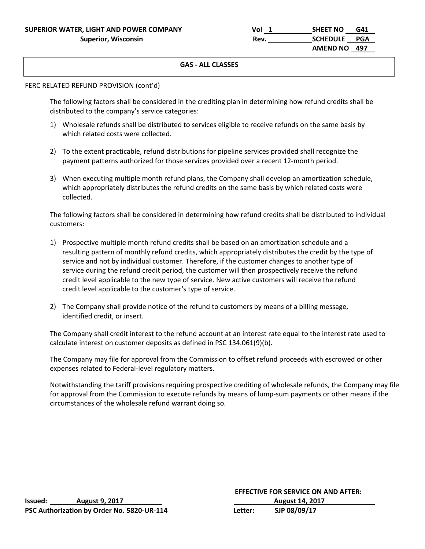| SUPERIOR WATER, LIGHT AND POWER COMPANY | Vol  | SHEET NO     | G41 |
|-----------------------------------------|------|--------------|-----|
| <b>Superior, Wisconsin</b>              | Rev. | SCHEDULE PGA |     |
|                                         |      | AMEND NO 497 |     |

## **GAS ‐ ALL CLASSES**

#### FERC RELATED REFUND PROVISION (cont'd)

The following factors shall be considered in the crediting plan in determining how refund credits shall be distributed to the company's service categories:

- 1) Wholesale refunds shall be distributed to services eligible to receive refunds on the same basis by which related costs were collected.
- 2) To the extent practicable, refund distributions for pipeline services provided shall recognize the payment patterns authorized for those services provided over a recent 12‐month period.
- 3) When executing multiple month refund plans, the Company shall develop an amortization schedule, which appropriately distributes the refund credits on the same basis by which related costs were collected.

The following factors shall be considered in determining how refund credits shall be distributed to individual customers:

- 1) Prospective multiple month refund credits shall be based on an amortization schedule and a resulting pattern of monthly refund credits, which appropriately distributes the credit by the type of service and not by individual customer. Therefore, if the customer changes to another type of service during the refund credit period, the customer will then prospectively receive the refund credit level applicable to the new type of service. New active customers will receive the refund credit level applicable to the customer's type of service.
- 2) The Company shall provide notice of the refund to customers by means of a billing message, identified credit, or insert.

The Company shall credit interest to the refund account at an interest rate equal to the interest rate used to calculate interest on customer deposits as defined in PSC 134.061(9)(b).

The Company may file for approval from the Commission to offset refund proceeds with escrowed or other expenses related to Federal‐level regulatory matters.

Notwithstanding the tariff provisions requiring prospective crediting of wholesale refunds, the Company may file for approval from the Commission to execute refunds by means of lump-sum payments or other means if the circumstances of the wholesale refund warrant doing so.

|                |                                            | <b>EFFECTIVE FOR SERVICE ON AND AFTER:</b> |                        |  |
|----------------|--------------------------------------------|--------------------------------------------|------------------------|--|
| <b>Issued:</b> | <b>August 9, 2017</b>                      |                                            | <b>August 14, 2017</b> |  |
|                | PSC Authorization by Order No. 5820-UR-114 | Letter:                                    | SJP 08/09/17           |  |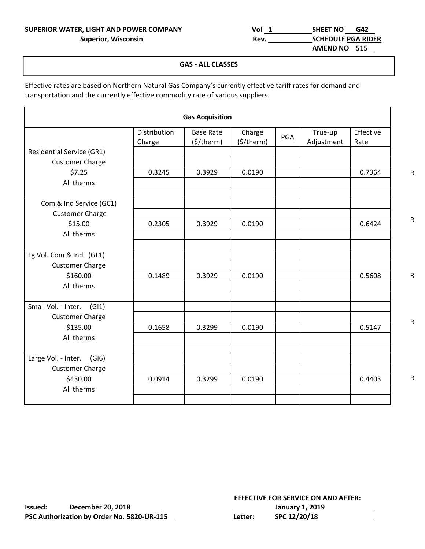# **SUPERIOR WATER, LIGHT AND POWER COMPANY Vol 1 SHEET NO G42**

| R, LIGHT AND POWER COMPANY | Vol  | <b>SHEET NO</b><br>G42    |
|----------------------------|------|---------------------------|
| <b>Superior, Wisconsin</b> | Rev. | <b>SCHEDULE PGA RIDER</b> |
|                            |      | AMEND NO 515              |

### **GAS ‐ ALL CLASSES**

Effective rates are based on Northern Natural Gas Company's currently effective tariff rates for demand and transportation and the currently effective commodity rate of various suppliers.

|                                  |                        | <b>Gas Acquisition</b>               |                      |            |                       |                   |
|----------------------------------|------------------------|--------------------------------------|----------------------|------------|-----------------------|-------------------|
|                                  | Distribution<br>Charge | <b>Base Rate</b><br>$($ \$/therm $)$ | Charge<br>(\$/therm) | <b>PGA</b> | True-up<br>Adjustment | Effective<br>Rate |
| <b>Residential Service (GR1)</b> |                        |                                      |                      |            |                       |                   |
| <b>Customer Charge</b>           |                        |                                      |                      |            |                       |                   |
| \$7.25                           | 0.3245                 | 0.3929                               | 0.0190               |            |                       | 0.7364            |
| All therms                       |                        |                                      |                      |            |                       |                   |
| Com & Ind Service (GC1)          |                        |                                      |                      |            |                       |                   |
| <b>Customer Charge</b>           |                        |                                      |                      |            |                       |                   |
| \$15.00                          | 0.2305                 | 0.3929                               | 0.0190               |            |                       | 0.6424            |
| All therms                       |                        |                                      |                      |            |                       |                   |
|                                  |                        |                                      |                      |            |                       |                   |
| Lg Vol. Com & Ind (GL1)          |                        |                                      |                      |            |                       |                   |
| <b>Customer Charge</b>           |                        |                                      |                      |            |                       |                   |
| \$160.00                         | 0.1489                 | 0.3929                               | 0.0190               |            |                       | 0.5608            |
| All therms                       |                        |                                      |                      |            |                       |                   |
| Small Vol. - Inter.<br>(G 1)     |                        |                                      |                      |            |                       |                   |
| <b>Customer Charge</b>           |                        |                                      |                      |            |                       |                   |
| \$135.00                         | 0.1658                 | 0.3299                               | 0.0190               |            |                       | 0.5147            |
| All therms                       |                        |                                      |                      |            |                       |                   |
| Large Vol. - Inter.<br>(GI6)     |                        |                                      |                      |            |                       |                   |
| <b>Customer Charge</b>           |                        |                                      |                      |            |                       |                   |
| \$430.00                         | 0.0914                 | 0.3299                               | 0.0190               |            |                       | 0.4403            |
| All therms                       |                        |                                      |                      |            |                       |                   |
|                                  |                        |                                      |                      |            |                       |                   |

R

R

R

R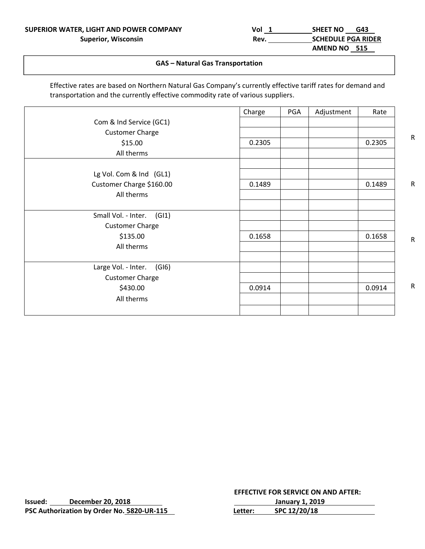| SUPERIOR WATER, LIGHT AND POWER COMPANY | Vol  | <b>SHEET NO</b><br>G43    |
|-----------------------------------------|------|---------------------------|
| <b>Superior, Wisconsin</b>              | Rev. | <b>SCHEDULE PGA RIDER</b> |
|                                         |      | AMEND NO 515              |

#### $\overline{\phantom{a}}$   $\overline{\phantom{a}}$   $\overline{\phantom{a}}$   $\overline{\phantom{a}}$   $\overline{\phantom{a}}$   $\overline{\phantom{a}}$   $\overline{\phantom{a}}$   $\overline{\phantom{a}}$   $\overline{\phantom{a}}$   $\overline{\phantom{a}}$   $\overline{\phantom{a}}$   $\overline{\phantom{a}}$   $\overline{\phantom{a}}$   $\overline{\phantom{a}}$   $\overline{\phantom{a}}$   $\overline{\phantom{a}}$   $\overline{\phantom{a}}$   $\overline{\phantom{a}}$   $\overline{\$ **GAS – Natural Gas Transportation**

Effective rates are based on Northern Natural Gas Company's currently effective tariff rates for demand and transportation and the currently effective commodity rate of various suppliers.

|                              | Charge | <b>PGA</b> | Adjustment | Rate   |
|------------------------------|--------|------------|------------|--------|
| Com & Ind Service (GC1)      |        |            |            |        |
| <b>Customer Charge</b>       |        |            |            |        |
| \$15.00                      | 0.2305 |            |            | 0.2305 |
| All therms                   |        |            |            |        |
|                              |        |            |            |        |
| Lg Vol. Com & Ind (GL1)      |        |            |            |        |
| Customer Charge \$160.00     | 0.1489 |            |            | 0.1489 |
| All therms                   |        |            |            |        |
|                              |        |            |            |        |
| Small Vol. - Inter.<br>(G 1) |        |            |            |        |
| <b>Customer Charge</b>       |        |            |            |        |
| \$135.00                     | 0.1658 |            |            | 0.1658 |
| All therms                   |        |            |            |        |
|                              |        |            |            |        |
| Large Vol. - Inter.<br>(GI6) |        |            |            |        |
| <b>Customer Charge</b>       |        |            |            |        |
| \$430.00                     | 0.0914 |            |            | 0.0914 |
| All therms                   |        |            |            |        |
|                              |        |            |            |        |

|         |                                            |         | EFFECTIVE FOR SERVICE ON AND AFTER. |  |
|---------|--------------------------------------------|---------|-------------------------------------|--|
| Issued: | December 20, 2018                          |         | January 1, 2019                     |  |
|         | PSC Authorization by Order No. 5820-UR-115 | Letter: | SPC 12/20/18                        |  |

 **EFFECTIVE FOR SERVICE ON AND AFTER: Issued: 1, 2019** 

R

R

R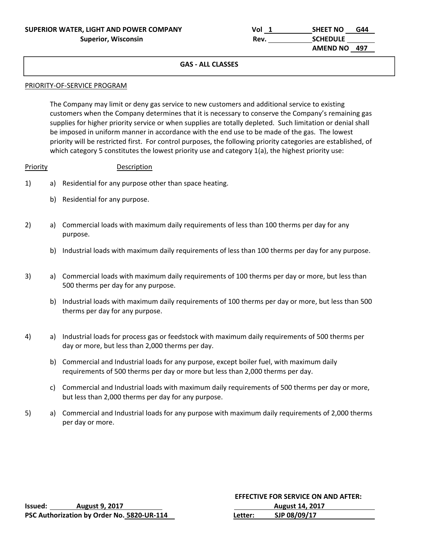| SUPERIOR WATER, LIGHT AND POWER COMPANY | Vol  | <b>SHEET NO</b> | G44 |
|-----------------------------------------|------|-----------------|-----|
| <b>Superior, Wisconsin</b>              | Rev. | <b>SCHEDULE</b> |     |
|                                         |      | AMEND NO 497    |     |

## **GAS ‐ ALL CLASSES**

#### PRIORITY‐OF‐SERVICE PROGRAM

The Company may limit or deny gas service to new customers and additional service to existing customers when the Company determines that it is necessary to conserve the Company's remaining gas supplies for higher priority service or when supplies are totally depleted. Such limitation or denial shall be imposed in uniform manner in accordance with the end use to be made of the gas. The lowest priority will be restricted first. For control purposes, the following priority categories are established, of which category 5 constitutes the lowest priority use and category 1(a), the highest priority use:

#### Priority **Description**

- 1) a) Residential for any purpose other than space heating.
	- b) Residential for any purpose.
- 2) a) Commercial loads with maximum daily requirements of less than 100 therms per day for any purpose.
	- b) Industrial loads with maximum daily requirements of less than 100 therms per day for any purpose.
- 3) a) Commercial loads with maximum daily requirements of 100 therms per day or more, but less than 500 therms per day for any purpose.
	- b) Industrial loads with maximum daily requirements of 100 therms per day or more, but less than 500 therms per day for any purpose.
- 4) a) Industrial loads for process gas or feedstock with maximum daily requirements of 500 therms per day or more, but less than 2,000 therms per day.
	- b) Commercial and Industrial loads for any purpose, except boiler fuel, with maximum daily requirements of 500 therms per day or more but less than 2,000 therms per day.
	- c) Commercial and Industrial loads with maximum daily requirements of 500 therms per day or more, but less than 2,000 therms per day for any purpose.
- 5) a) Commercial and Industrial loads for any purpose with maximum daily requirements of 2,000 therms per day or more.

|         |                                            |         | <b>EFFECTIVE FOR SERVICE ON AND AFTER:</b> |
|---------|--------------------------------------------|---------|--------------------------------------------|
| Issued: | <b>August 9, 2017</b>                      |         | <b>August 14, 2017</b>                     |
|         | PSC Authorization by Order No. 5820-UR-114 | Letter: | SJP 08/09/17                               |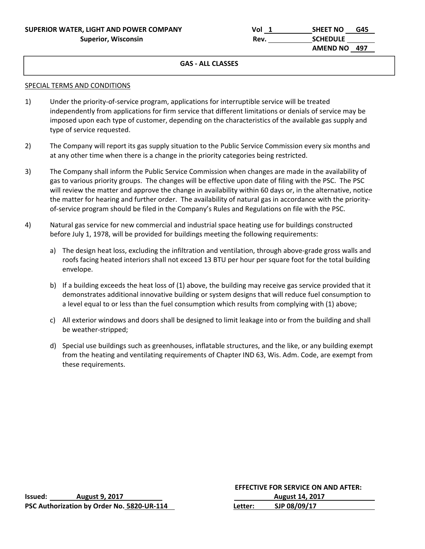| SUPERIOR WATER, LIGHT AND POWER COMPANY | Vol  | SHEET NO<br>G45 |
|-----------------------------------------|------|-----------------|
| Superior, Wisconsin                     | Rev. | <b>SCHEDULE</b> |
|                                         |      | AMEND NO 497    |

## **GAS ‐ ALL CLASSES**

#### SPECIAL TERMS AND CONDITIONS

- 1) Under the priority-of-service program, applications for interruptible service will be treated independently from applications for firm service that different limitations or denials of service may be imposed upon each type of customer, depending on the characteristics of the available gas supply and type of service requested.
- 2) The Company will report its gas supply situation to the Public Service Commission every six months and at any other time when there is a change in the priority categories being restricted.
- 3) The Company shall inform the Public Service Commission when changes are made in the availability of gas to various priority groups. The changes will be effective upon date of filing with the PSC. The PSC will review the matter and approve the change in availability within 60 days or, in the alternative, notice the matter for hearing and further order. The availability of natural gas in accordance with the priority‐ of‐service program should be filed in the Company's Rules and Regulations on file with the PSC.
- 4) Natural gas service for new commercial and industrial space heating use for buildings constructed before July 1, 1978, will be provided for buildings meeting the following requirements:
	- a) The design heat loss, excluding the infiltration and ventilation, through above-grade gross walls and roofs facing heated interiors shall not exceed 13 BTU per hour per square foot for the total building envelope.
	- b) If a building exceeds the heat loss of (1) above, the building may receive gas service provided that it demonstrates additional innovative building or system designs that will reduce fuel consumption to a level equal to or less than the fuel consumption which results from complying with (1) above;
	- c) All exterior windows and doors shall be designed to limit leakage into or from the building and shall be weather‐stripped;
	- d) Special use buildings such as greenhouses, inflatable structures, and the like, or any building exempt from the heating and ventilating requirements of Chapter IND 63, Wis. Adm. Code, are exempt from these requirements.

|         |                                            |         | <b>EFFECTIVE FOR SERVICE ON AND AFTER:</b> |
|---------|--------------------------------------------|---------|--------------------------------------------|
| lssued: | <b>August 9, 2017</b>                      |         | <b>August 14, 2017</b>                     |
|         | PSC Authorization by Order No. 5820-UR-114 | Letter: | SJP 08/09/17                               |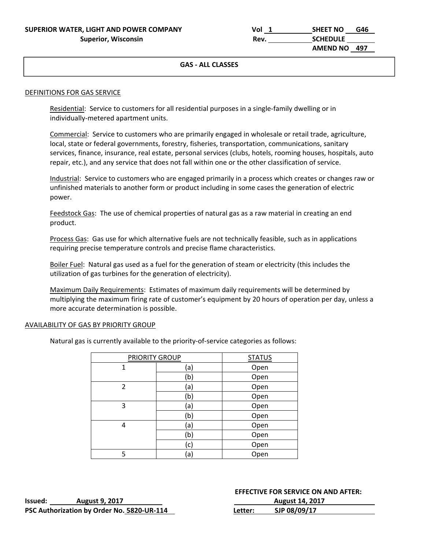| SUPERIOR WATER, LIGHT AND POWER COMPANY | Vol  | SHEET NO<br>G46 |
|-----------------------------------------|------|-----------------|
| <b>Superior, Wisconsin</b>              | Rev. | <b>SCHEDULE</b> |
|                                         |      | AMEND NO 497    |

## **GAS ‐ ALL CLASSES**

#### DEFINITIONS FOR GAS SERVICE

Residential: Service to customers for all residential purposes in a single-family dwelling or in individually‐metered apartment units.

 Commercial: Service to customers who are primarily engaged in wholesale or retail trade, agriculture, local, state or federal governments, forestry, fisheries, transportation, communications, sanitary services, finance, insurance, real estate, personal services (clubs, hotels, rooming houses, hospitals, auto repair, etc.), and any service that does not fall within one or the other classification of service.

 Industrial: Service to customers who are engaged primarily in a process which creates or changes raw or unfinished materials to another form or product including in some cases the generation of electric power.

Feedstock Gas: The use of chemical properties of natural gas as a raw material in creating an end product.

 Process Gas: Gas use for which alternative fuels are not technically feasible, such as in applications requiring precise temperature controls and precise flame characteristics.

 Boiler Fuel: Natural gas used as a fuel for the generation of steam or electricity (this includes the utilization of gas turbines for the generation of electricity).

 Maximum Daily Requirements: Estimates of maximum daily requirements will be determined by multiplying the maximum firing rate of customer's equipment by 20 hours of operation per day, unless a more accurate determination is possible.

#### AVAILABILITY OF GAS BY PRIORITY GROUP

Natural gas is currently available to the priority‐of‐service categories as follows:

| PRIORITY GROUP |     | <b>STATUS</b> |
|----------------|-----|---------------|
| 1              | (a) | Open          |
|                | (b) | Open          |
| $\mathcal{P}$  | (a) | Open          |
|                | (b) | Open          |
| 3              | (a) | Open          |
|                | (b) | Open          |
| 4              | (a) | Open          |
|                | (b) | Open          |
|                | (c) | Open          |
| 5              | (a) | Open          |

| Issued: | <b>August 9, 2017</b>                      |  |
|---------|--------------------------------------------|--|
|         | PSC Authorization by Order No. 5820-UR-114 |  |

 **EFFECTIVE FOR SERVICE ON AND AFTER: Issued: August 9, 2017 August 14, 2017 Letter: SJP 08/09/17**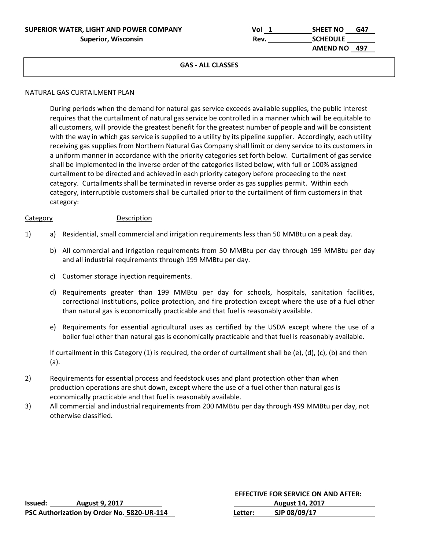| SUPERIOR WATER, LIGHT AND POWER COMPANY | Vol  | <b>SHEET NO</b><br>G47 |
|-----------------------------------------|------|------------------------|
| <b>Superior, Wisconsin</b>              | Rev. | <b>SCHEDULE</b>        |
|                                         |      | AMEND NO 497           |

#### **GAS ‐ ALL CLASSES**

#### NATURAL GAS CURTAILMENT PLAN

During periods when the demand for natural gas service exceeds available supplies, the public interest requires that the curtailment of natural gas service be controlled in a manner which will be equitable to all customers, will provide the greatest benefit for the greatest number of people and will be consistent with the way in which gas service is supplied to a utility by its pipeline supplier. Accordingly, each utility receiving gas supplies from Northern Natural Gas Company shall limit or deny service to its customers in a uniform manner in accordance with the priority categories set forth below. Curtailment of gas service shall be implemented in the inverse order of the categories listed below, with full or 100% assigned curtailment to be directed and achieved in each priority category before proceeding to the next category. Curtailments shall be terminated in reverse order as gas supplies permit. Within each category, interruptible customers shall be curtailed prior to the curtailment of firm customers in that category:

#### Category **Description**

- 1) a) Residential, small commercial and irrigation requirements less than 50 MMBtu on a peak day.
	- b) All commercial and irrigation requirements from 50 MMBtu per day through 199 MMBtu per day and all industrial requirements through 199 MMBtu per day.
	- c) Customer storage injection requirements.
	- d) Requirements greater than 199 MMBtu per day for schools, hospitals, sanitation facilities, correctional institutions, police protection, and fire protection except where the use of a fuel other than natural gas is economically practicable and that fuel is reasonably available.
	- e) Requirements for essential agricultural uses as certified by the USDA except where the use of a boiler fuel other than natural gas is economically practicable and that fuel is reasonably available.

If curtailment in this Category (1) is required, the order of curtailment shall be (e), (d), (c), (b) and then (a).

- 2) Requirements for essential process and feedstock uses and plant protection other than when production operations are shut down, except where the use of a fuel other than natural gas is economically practicable and that fuel is reasonably available.
- 3) All commercial and industrial requirements from 200 MMBtu per day through 499 MMBtu per day, not otherwise classified.

|         |                                            | <b>EFFECTIVE FOR SERVICE ON AND AFTER:</b> |                        |
|---------|--------------------------------------------|--------------------------------------------|------------------------|
| lssued: | <b>August 9, 2017</b>                      |                                            | <b>August 14, 2017</b> |
|         | PSC Authorization by Order No. 5820-UR-114 | Letter:                                    | SJP 08/09/17           |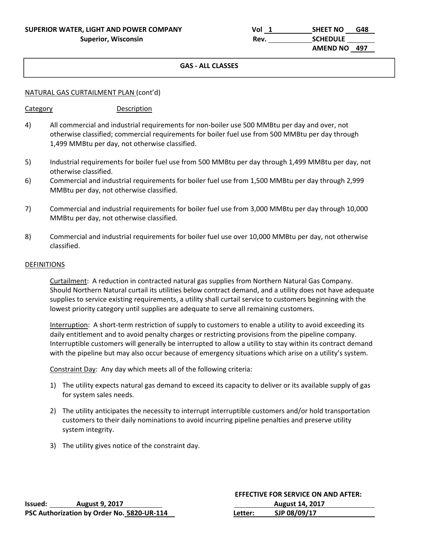| SUPERIOR WATER, LIGHT AND POWER COMPANY | Vol  | <b>SHEET NO</b><br>G48 |
|-----------------------------------------|------|------------------------|
| <b>Superior, Wisconsin</b>              | Rev. | <b>SCHEDULE</b>        |
|                                         |      | AMEND NO 497           |

## **GAS ‐ ALL CLASSES**

### NATURAL GAS CURTAILMENT PLAN (cont'd)

#### Category **Description**

- 4) All commercial and industrial requirements for non-boiler use 500 MMBtu per day and over, not otherwise classified; commercial requirements for boiler fuel use from 500 MMBtu per day through 1,499 MMBtu per day, not otherwise classified.
- 5) Industrial requirements for boiler fuel use from 500 MMBtu per day through 1,499 MMBtu per day, not otherwise classified.
- 6) Commercial and industrial requirements for boiler fuel use from 1,500 MMBtu per day through 2,999 MMBtu per day, not otherwise classified.
- 7) Commercial and industrial requirements for boiler fuel use from 3,000 MMBtu per day through 10,000 MMBtu per day, not otherwise classified.
- 8) Commercial and industrial requirements for boiler fuel use over 10,000 MMBtu per day, not otherwise classified.

#### DEFINITIONS

Curtailment: A reduction in contracted natural gas supplies from Northern Natural Gas Company. Should Northern Natural curtail its utilities below contract demand, and a utility does not have adequate supplies to service existing requirements, a utility shall curtail service to customers beginning with the lowest priority category until supplies are adequate to serve all remaining customers.

Interruption: A short-term restriction of supply to customers to enable a utility to avoid exceeding its daily entitlement and to avoid penalty charges or restricting provisions from the pipeline company. Interruptible customers will generally be interrupted to allow a utility to stay within its contract demand with the pipeline but may also occur because of emergency situations which arise on a utility's system.

Constraint Day: Any day which meets all of the following criteria:

- 1) The utility expects natural gas demand to exceed its capacity to deliver or its available supply of gas for system sales needs.
- 2) The utility anticipates the necessity to interrupt interruptible customers and/or hold transportation customers to their daily nominations to avoid incurring pipeline penalties and preserve utility system integrity.
- 3) The utility gives notice of the constraint day.

|         |                                            | <b>EFFECTIVE FOR SERVICE ON AND AFTER:</b> |                        |
|---------|--------------------------------------------|--------------------------------------------|------------------------|
| Issued: | <b>August 9, 2017</b>                      |                                            | <b>August 14, 2017</b> |
|         | PSC Authorization by Order No. 5820-UR-114 | Letter:                                    | SJP 08/09/17           |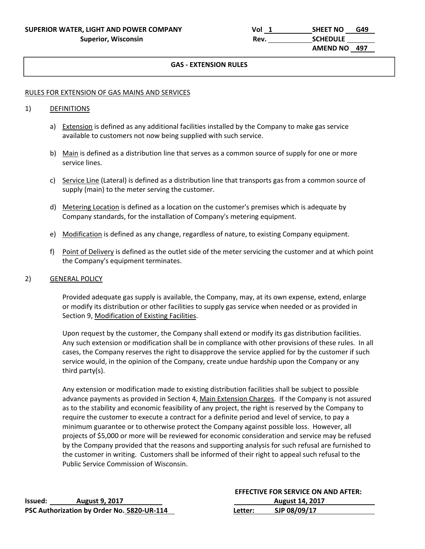#### $\mathbf{u} = \mathbf{u} \cdot \mathbf{u} + \mathbf{u} \cdot \mathbf{u} + \mathbf{u} \cdot \mathbf{u} + \mathbf{u} \cdot \mathbf{u} + \mathbf{u} \cdot \mathbf{u} + \mathbf{u} \cdot \mathbf{u} + \mathbf{u} \cdot \mathbf{u} + \mathbf{u} \cdot \mathbf{u} + \mathbf{u} \cdot \mathbf{u} + \mathbf{u} \cdot \mathbf{u} + \mathbf{u} \cdot \mathbf{u} + \mathbf{u} \cdot \mathbf{u} + \mathbf{u} \cdot \mathbf{u} + \mathbf{u} \cdot \mathbf{u} + \mathbf$ **GAS ‐ EXTENSION RULES**

#### RULES FOR EXTENSION OF GAS MAINS AND SERVICES

#### 1) DEFINITIONS

- a) Extension is defined as any additional facilities installed by the Company to make gas service available to customers not now being supplied with such service.
- b) Main is defined as a distribution line that serves as a common source of supply for one or more service lines.
- c) Service Line (Lateral) is defined as a distribution line that transports gas from a common source of supply (main) to the meter serving the customer.
- d) Metering Location is defined as a location on the customer's premises which is adequate by Company standards, for the installation of Company's metering equipment.
- e) Modification is defined as any change, regardless of nature, to existing Company equipment.
- f) Point of Delivery is defined as the outlet side of the meter servicing the customer and at which point the Company's equipment terminates.

#### 2) GENERAL POLICY

Provided adequate gas supply is available, the Company, may, at its own expense, extend, enlarge or modify its distribution or other facilities to supply gas service when needed or as provided in Section 9, Modification of Existing Facilities.

Upon request by the customer, the Company shall extend or modify its gas distribution facilities. Any such extension or modification shall be in compliance with other provisions of these rules. In all cases, the Company reserves the right to disapprove the service applied for by the customer if such service would, in the opinion of the Company, create undue hardship upon the Company or any third party(s).

Any extension or modification made to existing distribution facilities shall be subject to possible advance payments as provided in Section 4, Main Extension Charges. If the Company is not assured as to the stability and economic feasibility of any project, the right is reserved by the Company to require the customer to execute a contract for a definite period and level of service, to pay a minimum guarantee or to otherwise protect the Company against possible loss. However, all projects of \$5,000 or more will be reviewed for economic consideration and service may be refused by the Company provided that the reasons and supporting analysis for such refusal are furnished to the customer in writing. Customers shall be informed of their right to appeal such refusal to the Public Service Commission of Wisconsin.

|         |                                            | <b>EFFECTIVE FOR SERVICE ON AND AFTER:</b> |                        |
|---------|--------------------------------------------|--------------------------------------------|------------------------|
| lssued: | <b>August 9, 2017</b>                      |                                            | <b>August 14, 2017</b> |
|         | PSC Authorization by Order No. 5820-UR-114 | Letter:                                    | SJP 08/09/17           |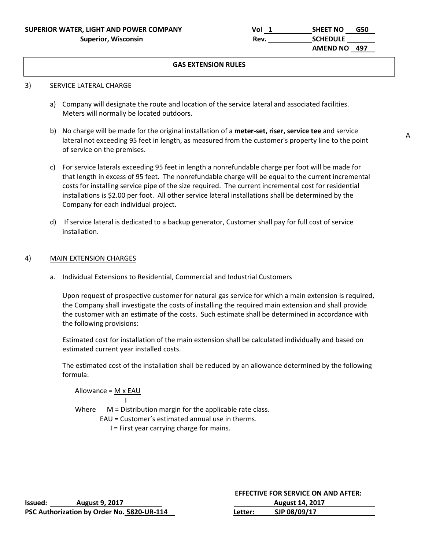| SUPERIOR WATER, LIGHT AND POWER COMPANY | Vol  | <b>SHEET NO</b> | G50 |
|-----------------------------------------|------|-----------------|-----|
| <b>Superior, Wisconsin</b>              | Rev. | <b>SCHEDULE</b> |     |
|                                         |      | AMEND NO 497    |     |

#### **GAS EXTENSION RULES**

#### 3) SERVICE LATERAL CHARGE

- a) Company will designate the route and location of the service lateral and associated facilities. Meters will normally be located outdoors.
- b) No charge will be made for the original installation of a **meter‐set, riser, service tee** and service lateral not exceeding 95 feet in length, as measured from the customer's property line to the point of service on the premises.
- c) For service laterals exceeding 95 feet in length a nonrefundable charge per foot will be made for that length in excess of 95 feet. The nonrefundable charge will be equal to the current incremental costs for installing service pipe of the size required. The current incremental cost for residential installations is \$2.00 per foot. All other service lateral installations shall be determined by the Company for each individual project.
- d) If service lateral is dedicated to a backup generator, Customer shall pay for full cost of service installation.

#### 4) MAIN EXTENSION CHARGES

a. Individual Extensions to Residential, Commercial and Industrial Customers

 Upon request of prospective customer for natural gas service for which a main extension is required, the Company shall investigate the costs of installing the required main extension and shall provide the customer with an estimate of the costs. Such estimate shall be determined in accordance with the following provisions:

 Estimated cost for installation of the main extension shall be calculated individually and based on estimated current year installed costs.

 The estimated cost of the installation shall be reduced by an allowance determined by the following formula:

Allowance = M x EAU I Where  $M =$  Distribution margin for the applicable rate class. EAU = Customer's estimated annual use in therms.

I = First year carrying charge for mains.

|         |                                            |         | <b>EFFECTIVE FOR SERVICE ON AND AFTER:</b> |  |
|---------|--------------------------------------------|---------|--------------------------------------------|--|
| Issued: | <b>August 9, 2017</b>                      |         | <b>August 14, 2017</b>                     |  |
|         | PSC Authorization by Order No. 5820-UR-114 | Letter: | SJP 08/09/17                               |  |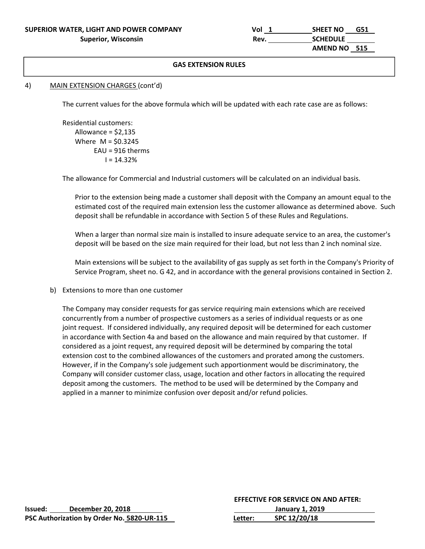| SUPERIOR WATER, LIGHT AND POWER COMPANY | Vol  | <b>SHEET NO</b><br>G51 |
|-----------------------------------------|------|------------------------|
| <b>Superior, Wisconsin</b>              | Rev. | <b>SCHEDULE</b>        |
|                                         |      | AMEND NO 515           |

### **GAS EXTENSION RULES**

## 4) MAIN EXTENSION CHARGES (cont'd)

The current values for the above formula which will be updated with each rate case are as follows:

 Residential customers: Allowance =  $$2,135$ Where  $M = $0.3245$  $EAU = 916$  therms  $I = 14.32%$ 

The allowance for Commercial and Industrial customers will be calculated on an individual basis.

Prior to the extension being made a customer shall deposit with the Company an amount equal to the estimated cost of the required main extension less the customer allowance as determined above. Such deposit shall be refundable in accordance with Section 5 of these Rules and Regulations.

When a larger than normal size main is installed to insure adequate service to an area, the customer's deposit will be based on the size main required for their load, but not less than 2 inch nominal size.

Main extensions will be subject to the availability of gas supply as set forth in the Company's Priority of Service Program, sheet no. G 42, and in accordance with the general provisions contained in Section 2.

b) Extensions to more than one customer

The Company may consider requests for gas service requiring main extensions which are received concurrently from a number of prospective customers as a series of individual requests or as one joint request. If considered individually, any required deposit will be determined for each customer in accordance with Section 4a and based on the allowance and main required by that customer. If considered as a joint request, any required deposit will be determined by comparing the total extension cost to the combined allowances of the customers and prorated among the customers. However, if in the Company's sole judgement such apportionment would be discriminatory, the Company will consider customer class, usage, location and other factors in allocating the required deposit among the customers. The method to be used will be determined by the Company and applied in a manner to minimize confusion over deposit and/or refund policies.

|         |                                            | <b>EFFECTIVE FOR SERVICE ON AND AFTER:</b> |              |  |
|---------|--------------------------------------------|--------------------------------------------|--------------|--|
| Issued: | December 20, 2018                          | January 1, 2019                            |              |  |
|         | PSC Authorization by Order No. 5820-UR-115 | Letter:                                    | SPC 12/20/18 |  |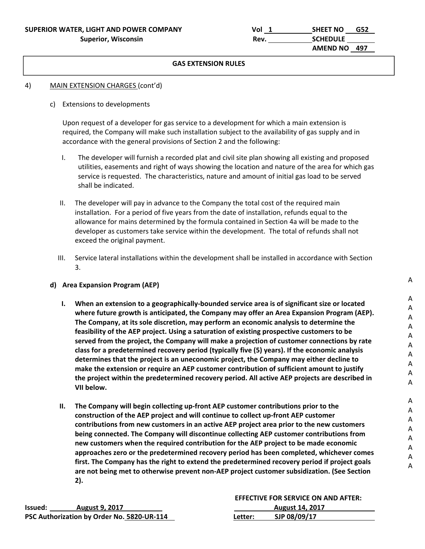| SUPERIOR WATER, LIGHT AND POWER COMPANY | Vol  | <b>SHEET NO</b> | G52 |
|-----------------------------------------|------|-----------------|-----|
| <b>Superior, Wisconsin</b>              | Rev. | <b>SCHEDULE</b> |     |
|                                         |      | AMEND NO 497    |     |

#### **GAS EXTENSION RULES**

#### 4) MAIN EXTENSION CHARGES (cont'd)

c) Extensions to developments

Upon request of a developer for gas service to a development for which a main extension is required, the Company will make such installation subject to the availability of gas supply and in accordance with the general provisions of Section 2 and the following:

- I. The developer will furnish a recorded plat and civil site plan showing all existing and proposed utilities, easements and right of ways showing the location and nature of the area for which gas service is requested. The characteristics, nature and amount of initial gas load to be served shall be indicated.
- II. The developer will pay in advance to the Company the total cost of the required main installation. For a period of five years from the date of installation, refunds equal to the allowance for mains determined by the formula contained in Section 4a will be made to the developer as customers take service within the development. The total of refunds shall not exceed the original payment.
- III. Service lateral installations within the development shall be installed in accordance with Section 3.

#### **d) Area Expansion Program (AEP)**

- **I. When an extension to a geographically‐bounded service area is of significant size or located where future growth is anticipated, the Company may offer an Area Expansion Program (AEP). The Company, at its sole discretion, may perform an economic analysis to determine the feasibility of the AEP project. Using a saturation of existing prospective customers to be served from the project, the Company will make a projection of customer connections by rate class for a predetermined recovery period (typically five (5) years). If the economic analysis determines that the project is an uneconomic project, the Company may either decline to make the extension or require an AEP customer contribution of sufficient amount to justify the project within the predetermined recovery period. All active AEP projects are described in VII below.**
- **II. The Company will begin collecting up‐front AEP customer contributions prior to the construction of the AEP project and will continue to collect up‐front AEP customer contributions from new customers in an active AEP project area prior to the new customers being connected. The Company will discontinue collecting AEP customer contributions from new customers when the required contribution for the AEP project to be made economic approaches zero or the predetermined recovery period has been completed, whichever comes first. The Company has the right to extend the predetermined recovery period if project goals are not being met to otherwise prevent non‐AEP project customer subsidization. (See Section 2).**

|         |                                            | <b>EFFECTIVE FOR SERVICE ON AND AFTER:</b> |                        |  |
|---------|--------------------------------------------|--------------------------------------------|------------------------|--|
| lssued: | <b>August 9, 2017</b>                      |                                            | <b>August 14, 2017</b> |  |
|         | PSC Authorization by Order No. 5820-UR-114 | Letter:                                    | SJP 08/09/17           |  |

A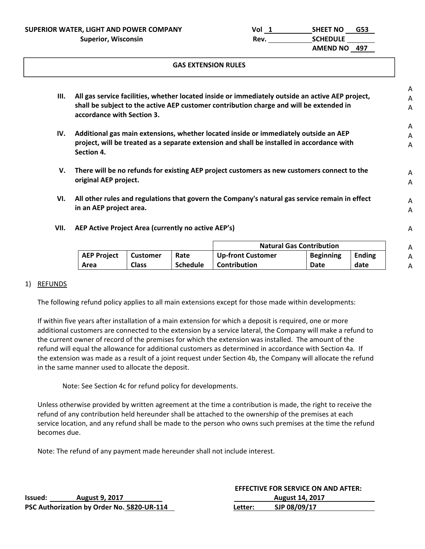**SUPERIOR WATER, LIGHT AND POWER COMPANY Vol 1 SHEET NO G53** 

#### **GAS EXTENSION RULES**

|      |                                                                                                                       |                 |                 |                                                                                                |                                 |               | A |
|------|-----------------------------------------------------------------------------------------------------------------------|-----------------|-----------------|------------------------------------------------------------------------------------------------|---------------------------------|---------------|---|
| III. | All gas service facilities, whether located inside or immediately outside an active AEP project,                      |                 |                 |                                                                                                |                                 |               | A |
|      | shall be subject to the active AEP customer contribution charge and will be extended in<br>accordance with Section 3. |                 |                 |                                                                                                |                                 |               |   |
|      |                                                                                                                       |                 |                 |                                                                                                |                                 |               | A |
| IV.  |                                                                                                                       |                 |                 | Additional gas main extensions, whether located inside or immediately outside an AEP           |                                 |               | A |
|      | Section 4.                                                                                                            |                 |                 | project, will be treated as a separate extension and shall be installed in accordance with     |                                 |               | A |
| V.   |                                                                                                                       |                 |                 | There will be no refunds for existing AEP project customers as new customers connect to the    |                                 |               | A |
|      | original AEP project.                                                                                                 |                 |                 |                                                                                                |                                 |               | A |
| VI.  |                                                                                                                       |                 |                 | All other rules and regulations that govern the Company's natural gas service remain in effect |                                 |               | A |
|      | in an AEP project area.                                                                                               |                 |                 |                                                                                                |                                 |               | A |
|      |                                                                                                                       |                 |                 |                                                                                                |                                 |               |   |
| VII. | AEP Active Project Area (currently no active AEP's)                                                                   |                 |                 |                                                                                                |                                 |               | A |
|      |                                                                                                                       |                 |                 |                                                                                                | <b>Natural Gas Contribution</b> |               | A |
|      | <b>AEP Project</b>                                                                                                    | <b>Customer</b> | Rate            | <b>Up-front Customer</b>                                                                       | <b>Beginning</b>                | <b>Ending</b> | Α |
|      | Area                                                                                                                  | <b>Class</b>    | <b>Schedule</b> | Contribution                                                                                   | Date                            | date          | A |

#### 1) REFUNDS

The following refund policy applies to all main extensions except for those made within developments:

If within five years after installation of a main extension for which a deposit is required, one or more additional customers are connected to the extension by a service lateral, the Company will make a refund to the current owner of record of the premises for which the extension was installed. The amount of the refund will equal the allowance for additional customers as determined in accordance with Section 4a. If the extension was made as a result of a joint request under Section 4b, the Company will allocate the refund in the same manner used to allocate the deposit.

Note: See Section 4c for refund policy for developments.

Unless otherwise provided by written agreement at the time a contribution is made, the right to receive the refund of any contribution held hereunder shall be attached to the ownership of the premises at each service location, and any refund shall be made to the person who owns such premises at the time the refund becomes due.

Note: The refund of any payment made hereunder shall not include interest.

|         |                                            |         | <b>EFFECTIVE FOR SERVICE ON AND AFTER:</b> |
|---------|--------------------------------------------|---------|--------------------------------------------|
| lssued: | <b>August 9, 2017</b>                      |         | <b>August 14, 2017</b>                     |
|         | PSC Authorization by Order No. 5820-UR-114 | Letter: | SJP 08/09/17                               |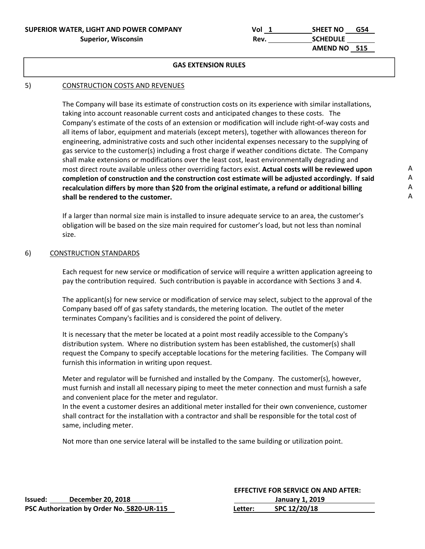### **SUPERIOR WATER, LIGHT AND POWER COMPANY** Superior, Wisconsin

| SUPERIOR WATER, LIGHT AND POWER COMPANY | Vol  | <b>SHEET NO</b> | G54 |
|-----------------------------------------|------|-----------------|-----|
| <b>Superior, Wisconsin</b>              | Rev. | <b>SCHEDULE</b> |     |
|                                         |      | AMEND NO 515    |     |

#### **GAS EXTENSION RULES**

## 5) CONSTRUCTION COSTS AND REVENUES

The Company will base its estimate of construction costs on its experience with similar installations, taking into account reasonable current costs and anticipated changes to these costs. The Company's estimate of the costs of an extension or modification will include right‐of‐way costs and all items of labor, equipment and materials (except meters), together with allowances thereon for engineering, administrative costs and such other incidental expenses necessary to the supplying of gas service to the customer(s) including a frost charge if weather conditions dictate. The Company shall make extensions or modifications over the least cost, least environmentally degrading and most direct route available unless other overriding factors exist. **Actual costs will be reviewed upon completion of construction and the construction cost estimate will be adjusted accordingly. If said recalculation differs by more than \$20 from the original estimate, a refund or additional billing shall be rendered to the customer.** 

If a larger than normal size main is installed to insure adequate service to an area, the customer's obligation will be based on the size main required for customer's load, but not less than nominal size.

#### 6) CONSTRUCTION STANDARDS

Each request for new service or modification of service will require a written application agreeing to pay the contribution required. Such contribution is payable in accordance with Sections 3 and 4.

The applicant(s) for new service or modification of service may select, subject to the approval of the Company based off of gas safety standards, the metering location. The outlet of the meter terminates Company's facilities and is considered the point of delivery.

It is necessary that the meter be located at a point most readily accessible to the Company's distribution system. Where no distribution system has been established, the customer(s) shall request the Company to specify acceptable locations for the metering facilities. The Company will furnish this information in writing upon request.

Meter and regulator will be furnished and installed by the Company. The customer(s), however, must furnish and install all necessary piping to meet the meter connection and must furnish a safe and convenient place for the meter and regulator.

In the event a customer desires an additional meter installed for their own convenience, customer shall contract for the installation with a contractor and shall be responsible for the total cost of same, including meter.

Not more than one service lateral will be installed to the same building or utilization point.

|         |                                            |         | <b>EFFECTIVE FOR SERVICE ON AND AFTER:</b> |
|---------|--------------------------------------------|---------|--------------------------------------------|
| lssued: | December 20, 2018                          |         | January 1, 2019                            |
|         | PSC Authorization by Order No. 5820-UR-115 | Letter: | SPC 12/20/18                               |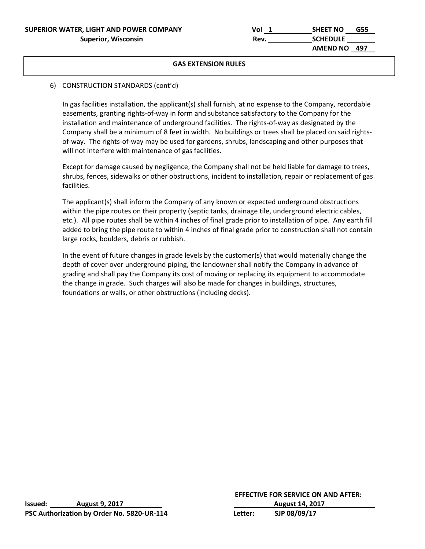| SUPERIOR WATER, LIGHT AND POWER COMPANY | Vol  | <b>SHEET NO</b><br>G55 |
|-----------------------------------------|------|------------------------|
| <b>Superior, Wisconsin</b>              | Rev. | <b>SCHEDULE</b>        |
|                                         |      | AMEND NO 497           |

### 6) CONSTRUCTION STANDARDS (cont'd)

In gas facilities installation, the applicant(s) shall furnish, at no expense to the Company, recordable easements, granting rights‐of‐way in form and substance satisfactory to the Company for the installation and maintenance of underground facilities. The rights‐of‐way as designated by the Company shall be a minimum of 8 feet in width. No buildings or trees shall be placed on said rights‐ of-way. The rights-of-way may be used for gardens, shrubs, landscaping and other purposes that will not interfere with maintenance of gas facilities.

 Except for damage caused by negligence, the Company shall not be held liable for damage to trees, shrubs, fences, sidewalks or other obstructions, incident to installation, repair or replacement of gas facilities.

 The applicant(s) shall inform the Company of any known or expected underground obstructions within the pipe routes on their property (septic tanks, drainage tile, underground electric cables, etc.). All pipe routes shall be within 4 inches of final grade prior to installation of pipe. Any earth fill added to bring the pipe route to within 4 inches of final grade prior to construction shall not contain large rocks, boulders, debris or rubbish.

 In the event of future changes in grade levels by the customer(s) that would materially change the depth of cover over underground piping, the landowner shall notify the Company in advance of grading and shall pay the Company its cost of moving or replacing its equipment to accommodate the change in grade. Such charges will also be made for changes in buildings, structures, foundations or walls, or other obstructions (including decks).

|         |                                            |         | <b>EFFECTIVE FOR SERVICE ON AND AFTER:</b> |
|---------|--------------------------------------------|---------|--------------------------------------------|
| lssued: | <b>August 9, 2017</b>                      |         | <b>August 14, 2017</b>                     |
|         | PSC Authorization by Order No. 5820-UR-114 | Letter: | SJP 08/09/17                               |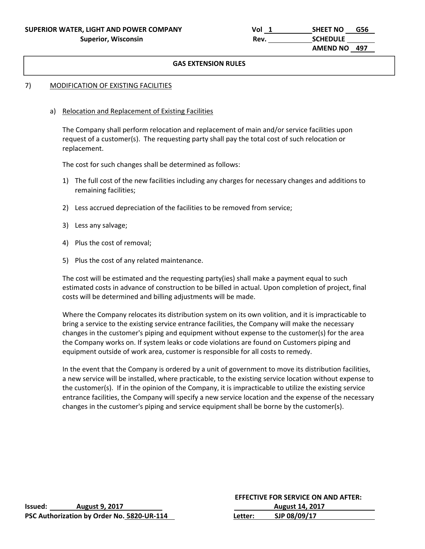| SUPERIOR WATER, LIGHT AND POWER COMPANY | Vol  | <b>SHEET NO</b><br>G56 |
|-----------------------------------------|------|------------------------|
| <b>Superior, Wisconsin</b>              | Rev. | <b>SCHEDULE</b>        |
|                                         |      | AMEND NO 497           |

## 7) MODIFICATION OF EXISTING FACILITIES

#### a) Relocation and Replacement of Existing Facilities

The Company shall perform relocation and replacement of main and/or service facilities upon request of a customer(s). The requesting party shall pay the total cost of such relocation or replacement.

The cost for such changes shall be determined as follows:

- 1) The full cost of the new facilities including any charges for necessary changes and additions to remaining facilities;
- 2) Less accrued depreciation of the facilities to be removed from service;
- 3) Less any salvage;
- 4) Plus the cost of removal;
- 5) Plus the cost of any related maintenance.

 The cost will be estimated and the requesting party(ies) shall make a payment equal to such estimated costs in advance of construction to be billed in actual. Upon completion of project, final costs will be determined and billing adjustments will be made.

 Where the Company relocates its distribution system on its own volition, and it is impracticable to bring a service to the existing service entrance facilities, the Company will make the necessary changes in the customer's piping and equipment without expense to the customer(s) for the area the Company works on. If system leaks or code violations are found on Customers piping and equipment outside of work area, customer is responsible for all costs to remedy.

In the event that the Company is ordered by a unit of government to move its distribution facilities, a new service will be installed, where practicable, to the existing service location without expense to the customer(s). If in the opinion of the Company, it is impracticable to utilize the existing service entrance facilities, the Company will specify a new service location and the expense of the necessary changes in the customer's piping and service equipment shall be borne by the customer(s).

|         |                                            |         | <b>EFFECTIVE FOR SERVICE ON AND AFTER:</b> |
|---------|--------------------------------------------|---------|--------------------------------------------|
| lssued: | <b>August 9, 2017</b>                      |         | <b>August 14, 2017</b>                     |
|         | PSC Authorization by Order No. 5820-UR-114 | Letter: | SJP 08/09/17                               |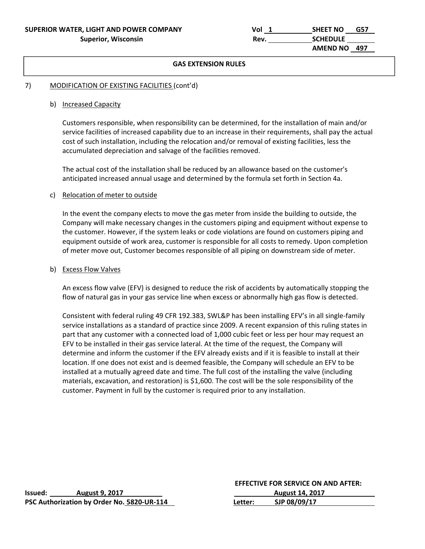| SUPERIOR WATER, LIGHT AND POWER COMPANY | Vol  | <b>SHEET NO</b><br>G57 |
|-----------------------------------------|------|------------------------|
| <b>Superior, Wisconsin</b>              | Rev. | <b>SCHEDULE</b>        |
|                                         |      | AMEND NO 497           |

#### 7) MODIFICATION OF EXISTING FACILITIES (cont'd)

#### b) Increased Capacity

Customers responsible, when responsibility can be determined, for the installation of main and/or service facilities of increased capability due to an increase in their requirements, shall pay the actual cost of such installation, including the relocation and/or removal of existing facilities, less the accumulated depreciation and salvage of the facilities removed.

The actual cost of the installation shall be reduced by an allowance based on the customer's anticipated increased annual usage and determined by the formula set forth in Section 4a.

#### c) Relocation of meter to outside

In the event the company elects to move the gas meter from inside the building to outside, the Company will make necessary changes in the customers piping and equipment without expense to the customer. However, if the system leaks or code violations are found on customers piping and equipment outside of work area, customer is responsible for all costs to remedy. Upon completion of meter move out, Customer becomes responsible of all piping on downstream side of meter.

#### b) Excess Flow Valves

An excess flow valve (EFV) is designed to reduce the risk of accidents by automatically stopping the flow of natural gas in your gas service line when excess or abnormally high gas flow is detected.

Consistent with federal ruling 49 CFR 192.383, SWL&P has been installing EFV's in all single‐family service installations as a standard of practice since 2009. A recent expansion of this ruling states in part that any customer with a connected load of 1,000 cubic feet or less per hour may request an EFV to be installed in their gas service lateral. At the time of the request, the Company will determine and inform the customer if the EFV already exists and if it is feasible to install at their location. If one does not exist and is deemed feasible, the Company will schedule an EFV to be installed at a mutually agreed date and time. The full cost of the installing the valve (including materials, excavation, and restoration) is \$1,600. The cost will be the sole responsibility of the customer. Payment in full by the customer is required prior to any installation.

| lssued: | <b>August 9, 2017</b>                      |         | <b>August 14, 2017</b> |  |
|---------|--------------------------------------------|---------|------------------------|--|
|         | PSC Authorization by Order No. 5820-UR-114 | Letter: | SJP 08/09/17           |  |

#### **EFFECTIVE FOR SERVICE ON AND AFTER:**

| Issued: | <b>August 9, 2017</b>                      |         | <b>August 14, 2017</b> |  |
|---------|--------------------------------------------|---------|------------------------|--|
|         | PSC Authorization by Order No. 5820-UR-114 | Letter: | SJP 08/09/17           |  |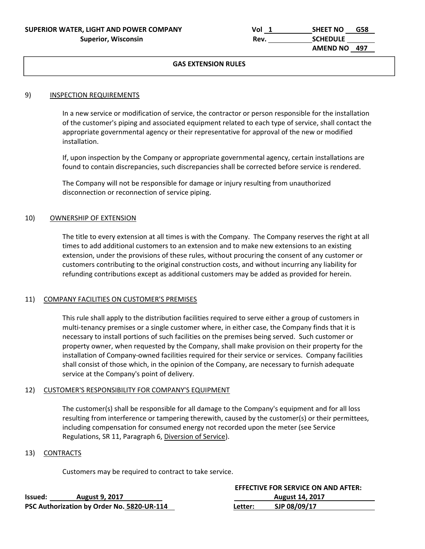| SUPERIOR WATER, LIGHT AND POWER COMPANY | Vol  | <b>SHEET NO</b> | G58 |
|-----------------------------------------|------|-----------------|-----|
| <b>Superior, Wisconsin</b>              | Rev. | <b>SCHEDULE</b> |     |
|                                         |      | AMEND NO 497    |     |

#### 9) INSPECTION REQUIREMENTS

In a new service or modification of service, the contractor or person responsible for the installation of the customer's piping and associated equipment related to each type of service, shall contact the appropriate governmental agency or their representative for approval of the new or modified installation.

If, upon inspection by the Company or appropriate governmental agency, certain installations are found to contain discrepancies, such discrepancies shall be corrected before service is rendered.

The Company will not be responsible for damage or injury resulting from unauthorized disconnection or reconnection of service piping.

#### 10) OWNERSHIP OF EXTENSION

The title to every extension at all times is with the Company. The Company reserves the right at all times to add additional customers to an extension and to make new extensions to an existing extension, under the provisions of these rules, without procuring the consent of any customer or customers contributing to the original construction costs, and without incurring any liability for refunding contributions except as additional customers may be added as provided for herein.

#### 11) COMPANY FACILITIES ON CUSTOMER'S PREMISES

This rule shall apply to the distribution facilities required to serve either a group of customers in multi-tenancy premises or a single customer where, in either case, the Company finds that it is necessary to install portions of such facilities on the premises being served. Such customer or property owner, when requested by the Company, shall make provision on their property for the installation of Company‐owned facilities required for their service or services. Company facilities shall consist of those which, in the opinion of the Company, are necessary to furnish adequate service at the Company's point of delivery.

#### 12) CUSTOMER'S RESPONSIBILITY FOR COMPANY'S EQUIPMENT

The customer(s) shall be responsible for all damage to the Company's equipment and for all loss resulting from interference or tampering therewith, caused by the customer(s) or their permittees, including compensation for consumed energy not recorded upon the meter (see Service Regulations, SR 11, Paragraph 6, Diversion of Service).

#### 13) CONTRACTS

Customers may be required to contract to take service.

|         |                                            |         | <b>EFFECTIVE FOR SERVICE ON AND AFTER:</b> |
|---------|--------------------------------------------|---------|--------------------------------------------|
| lssued: | <b>August 9, 2017</b>                      |         | <b>August 14, 2017</b>                     |
|         | PSC Authorization by Order No. 5820-UR-114 | Letter: | SJP 08/09/17                               |